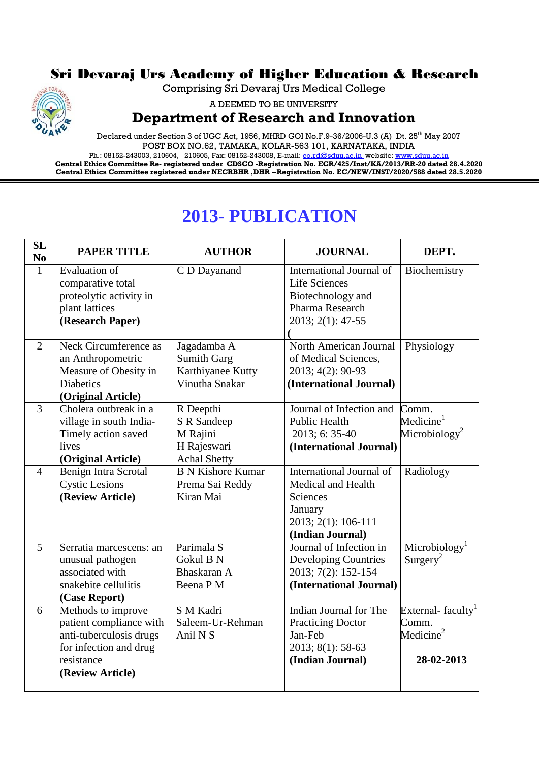## Sri Devaraj Urs Academy of Higher Education & Research

Comprising Sri Devaraj Urs Medical College



A DEEMED TO BE UNIVERSITY

## **Department of Research and Innovation**

Declared under Section 3 of UGC Act, 1956, MHRD GOI No.F.9-36/2006-U.3 (A) Dt. 25<sup>th</sup> May 2007 POST BOX NO.62, TAMAKA, KOLAR-563 101, KARNATAKA, INDIA

Ph.: 08152-243003, 210604, 210605, Fax: 08152-243008, E-mail: <u>co.rd@sduu.ac.in</u>\_website: <u>www.sduu.ac.in</u> **Central Ethics Committee Re- registered under CDSCO -Registration No. ECR/425/Inst/KA/2013/RR-20 dated 28.4.2020 Central Ethics Committee registered under NECRBHR ,DHR --Registration No. EC/NEW/INST/2020/588 dated 28.5.2020**

## **2013- PUBLICATION**

| SL<br>N <sub>0</sub> | <b>PAPER TITLE</b>      | <b>AUTHOR</b>                | <b>JOURNAL</b>                        | DEPT.                         |
|----------------------|-------------------------|------------------------------|---------------------------------------|-------------------------------|
| $\mathbf{1}$         | Evaluation of           | C D Dayanand                 | International Journal of              | Biochemistry                  |
|                      | comparative total       |                              | <b>Life Sciences</b>                  |                               |
|                      | proteolytic activity in |                              | Biotechnology and                     |                               |
|                      | plant lattices          |                              | Pharma Research                       |                               |
|                      | (Research Paper)        |                              | 2013; 2(1): 47-55                     |                               |
| $\overline{2}$       | Neck Circumference as   | Jagadamba A                  | North American Journal                | Physiology                    |
|                      | an Anthropometric       | <b>Sumith Garg</b>           | of Medical Sciences,                  |                               |
|                      | Measure of Obesity in   | Karthiyanee Kutty            | 2013; 4(2): 90-93                     |                               |
|                      | <b>Diabetics</b>        | Vinutha Snakar               | (International Journal)               |                               |
|                      | (Original Article)      |                              |                                       |                               |
| $\overline{3}$       | Cholera outbreak in a   | R Deepthi                    | Journal of Infection and              | Comm.                         |
|                      | village in south India- | S R Sandeep                  | <b>Public Health</b>                  | Medicine $^{1}$               |
|                      | Timely action saved     | M Rajini                     | 2013; 6: 35-40                        | Microbiology <sup>2</sup>     |
|                      | lives                   | H Rajeswari                  | (International Journal)               |                               |
|                      | (Original Article)      | <b>Achal Shetty</b>          | <b>International Journal of</b>       |                               |
| $\overline{4}$       | Benign Intra Scrotal    | <b>B N Kishore Kumar</b>     |                                       | Radiology                     |
|                      | <b>Cystic Lesions</b>   | Prema Sai Reddy<br>Kiran Mai | Medical and Health<br><b>Sciences</b> |                               |
|                      | (Review Article)        |                              |                                       |                               |
|                      |                         |                              | January<br>2013; 2(1): 106-111        |                               |
|                      |                         |                              | (Indian Journal)                      |                               |
| 5                    | Serratia marcescens: an | Parimala S                   | Journal of Infection in               | Microbiology <sup>1</sup>     |
|                      | unusual pathogen        | Gokul B N                    | <b>Developing Countries</b>           | Surgery <sup>2</sup>          |
|                      | associated with         | Bhaskaran A                  | 2013; 7(2): 152-154                   |                               |
|                      | snakebite cellulitis    | Beena P M                    | (International Journal)               |                               |
|                      | (Case Report)           |                              |                                       |                               |
| 6                    | Methods to improve      | S M Kadri                    | Indian Journal for The                | External-faculty <sup>1</sup> |
|                      | patient compliance with | Saleem-Ur-Rehman             | <b>Practicing Doctor</b>              | Comm.                         |
|                      | anti-tuberculosis drugs | Anil N S                     | Jan-Feb                               | Medicine $2$                  |
|                      | for infection and drug  |                              | 2013; 8(1): 58-63                     |                               |
|                      | resistance              |                              | (Indian Journal)                      | 28-02-2013                    |
|                      | (Review Article)        |                              |                                       |                               |
|                      |                         |                              |                                       |                               |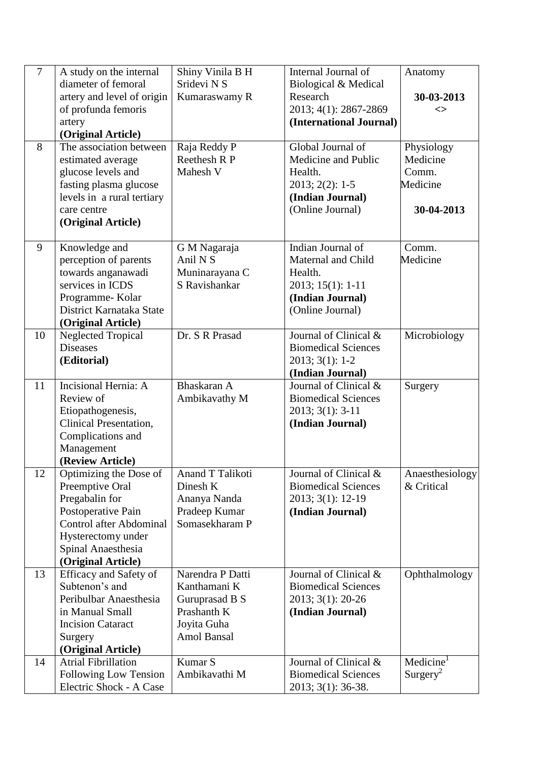| $\overline{7}$ | A study on the internal                     | Shiny Vinila B H    | Internal Journal of                    | Anatomy               |
|----------------|---------------------------------------------|---------------------|----------------------------------------|-----------------------|
|                | diameter of femoral                         | Sridevi N S         | Biological & Medical                   |                       |
|                | artery and level of origin                  | Kumaraswamy R       | Research                               | 30-03-2013            |
|                | of profunda femoris                         |                     | 2013; 4(1): 2867-2869                  | <>                    |
|                | artery                                      |                     | (International Journal)                |                       |
|                | (Original Article)                          |                     |                                        |                       |
| 8              | The association between                     | Raja Reddy P        | Global Journal of                      | Physiology            |
|                | estimated average                           | Reethesh R P        | Medicine and Public                    | Medicine              |
|                | glucose levels and                          | Mahesh V            | Health.                                | Comm.                 |
|                | fasting plasma glucose                      |                     | $2013; 2(2): 1-5$                      | Medicine              |
|                | levels in a rural tertiary                  |                     | (Indian Journal)                       |                       |
|                | care centre                                 |                     | (Online Journal)                       | 30-04-2013            |
|                | (Original Article)                          |                     |                                        |                       |
|                |                                             |                     |                                        |                       |
| 9              | Knowledge and                               | G M Nagaraja        | Indian Journal of                      | Comm.                 |
|                | perception of parents                       | Anil N <sub>S</sub> | Maternal and Child                     | Medicine              |
|                | towards anganawadi                          | Muninarayana C      | Health.                                |                       |
|                | services in ICDS                            | S Ravishankar       | $2013; 15(1): 1-11$                    |                       |
|                | Programme-Kolar                             |                     | (Indian Journal)                       |                       |
|                | District Karnataka State                    |                     | (Online Journal)                       |                       |
|                | (Original Article)                          |                     |                                        |                       |
| 10             | <b>Neglected Tropical</b>                   | Dr. S R Prasad      | Journal of Clinical &                  | Microbiology          |
|                | <b>Diseases</b>                             |                     | <b>Biomedical Sciences</b>             |                       |
|                | (Editorial)                                 |                     | $2013; 3(1): 1-2$                      |                       |
|                | Incisional Hernia: A                        | Bhaskaran A         | (Indian Journal)                       |                       |
| 11             | Review of                                   |                     | Journal of Clinical &                  | Surgery               |
|                |                                             | Ambikavathy M       | <b>Biomedical Sciences</b>             |                       |
|                | Etiopathogenesis,<br>Clinical Presentation, |                     | $2013; 3(1): 3-11$<br>(Indian Journal) |                       |
|                | Complications and                           |                     |                                        |                       |
|                | Management                                  |                     |                                        |                       |
|                | (Review Article)                            |                     |                                        |                       |
| 12             | Optimizing the Dose of                      | Anand T Talikoti    | Journal of Clinical &                  | Anaesthesiology       |
|                | Preemptive Oral                             | Dinesh K            | <b>Biomedical Sciences</b>             | & Critical            |
|                | Pregabalin for                              | Ananya Nanda        | 2013; 3(1): 12-19                      |                       |
|                | Postoperative Pain                          | Pradeep Kumar       | (Indian Journal)                       |                       |
|                | <b>Control after Abdominal</b>              | Somasekharam P      |                                        |                       |
|                | Hysterectomy under                          |                     |                                        |                       |
|                | Spinal Anaesthesia                          |                     |                                        |                       |
|                | (Original Article)                          |                     |                                        |                       |
| 13             | <b>Efficacy and Safety of</b>               | Narendra P Datti    | Journal of Clinical &                  | Ophthalmology         |
|                | Subtenon's and                              | Kanthamani K        | <b>Biomedical Sciences</b>             |                       |
|                | Peribulbar Anaesthesia                      | Guruprasad B S      | 2013; 3(1): 20-26                      |                       |
|                | in Manual Small                             | Prashanth K         | (Indian Journal)                       |                       |
|                | <b>Incision Cataract</b>                    | Joyita Guha         |                                        |                       |
|                | Surgery                                     | <b>Amol Bansal</b>  |                                        |                       |
|                | (Original Article)                          |                     |                                        |                       |
| 14             | <b>Atrial Fibrillation</b>                  | Kumar S             | Journal of Clinical &                  | Medicine <sup>1</sup> |
|                | Following Low Tension                       | Ambikavathi M       | <b>Biomedical Sciences</b>             | Surgery <sup>2</sup>  |
|                | Electric Shock - A Case                     |                     | 2013; 3(1): 36-38.                     |                       |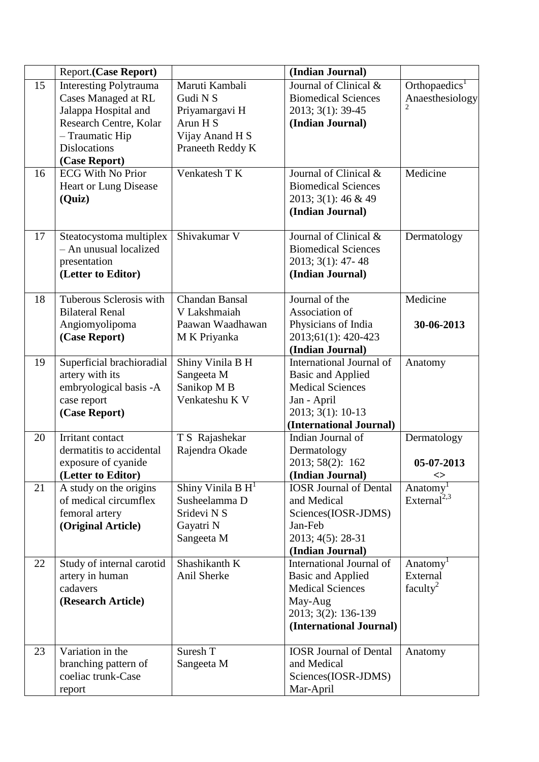|    | <b>Report.(Case Report)</b>                                                                                                                                              |                                                                                                 | (Indian Journal)                                                                                                                               |                                                          |
|----|--------------------------------------------------------------------------------------------------------------------------------------------------------------------------|-------------------------------------------------------------------------------------------------|------------------------------------------------------------------------------------------------------------------------------------------------|----------------------------------------------------------|
| 15 | <b>Interesting Polytrauma</b><br><b>Cases Managed at RL</b><br>Jalappa Hospital and<br>Research Centre, Kolar<br>- Traumatic Hip<br><b>Dislocations</b><br>(Case Report) | Maruti Kambali<br>Gudi N S<br>Priyamargavi H<br>Arun H S<br>Vijay Anand H S<br>Praneeth Reddy K | Journal of Clinical &<br><b>Biomedical Sciences</b><br>2013; 3(1): 39-45<br>(Indian Journal)                                                   | Orthopaedics <sup>1</sup><br>Anaesthesiology             |
| 16 | <b>ECG With No Prior</b><br>Heart or Lung Disease<br>(Quiz)                                                                                                              | Venkatesh TK                                                                                    | Journal of Clinical &<br><b>Biomedical Sciences</b><br>2013; 3(1): 46 & 49<br>(Indian Journal)                                                 | Medicine                                                 |
| 17 | Steatocystoma multiplex<br>- An unusual localized<br>presentation<br>(Letter to Editor)                                                                                  | Shivakumar V                                                                                    | Journal of Clinical &<br><b>Biomedical Sciences</b><br>2013; 3(1): 47-48<br>(Indian Journal)                                                   | Dermatology                                              |
| 18 | Tuberous Sclerosis with<br><b>Bilateral Renal</b><br>Angiomyolipoma<br>(Case Report)                                                                                     | Chandan Bansal<br>V Lakshmaiah<br>Paawan Waadhawan<br>M K Priyanka                              | Journal of the<br>Association of<br>Physicians of India<br>2013;61(1): 420-423<br>(Indian Journal)                                             | Medicine<br>30-06-2013                                   |
| 19 | Superficial brachioradial<br>artery with its<br>embryological basis -A<br>case report<br>(Case Report)                                                                   | Shiny Vinila B H<br>Sangeeta M<br>Sanikop M B<br>Venkateshu K V                                 | International Journal of<br><b>Basic and Applied</b><br><b>Medical Sciences</b><br>Jan - April<br>2013; 3(1): 10-13<br>(International Journal) | Anatomy                                                  |
| 20 | Irritant contact<br>dermatitis to accidental<br>exposure of cyanide<br>(Letter to Editor)                                                                                | T S Rajashekar<br>Rajendra Okade                                                                | Indian Journal of<br>Dermatology<br>2013; 58(2): 162<br>(Indian Journal)                                                                       | Dermatology<br>05-07-2013<br>◇                           |
| 21 | A study on the origins<br>of medical circumflex<br>femoral artery<br>(Original Article)                                                                                  | Shiny Vinila B $H1$<br>Susheelamma D<br>Sridevi N S<br>Gayatri N<br>Sangeeta M                  | <b>IOSR Journal of Dental</b><br>and Medical<br>Sciences(IOSR-JDMS)<br>Jan-Feb<br>2013; 4(5): 28-31<br>(Indian Journal)                        | Anatomy<br>External <sup>2,3</sup>                       |
| 22 | Study of internal carotid<br>artery in human<br>cadavers<br>(Research Article)                                                                                           | Shashikanth K<br>Anil Sherke                                                                    | International Journal of<br><b>Basic and Applied</b><br><b>Medical Sciences</b><br>May-Aug<br>2013; 3(2): 136-139<br>(International Journal)   | Anatomy <sup>1</sup><br>External<br>faculty <sup>2</sup> |
| 23 | Variation in the<br>branching pattern of<br>coeliac trunk-Case<br>report                                                                                                 | Suresh T<br>Sangeeta M                                                                          | <b>IOSR Journal of Dental</b><br>and Medical<br>Sciences(IOSR-JDMS)<br>Mar-April                                                               | Anatomy                                                  |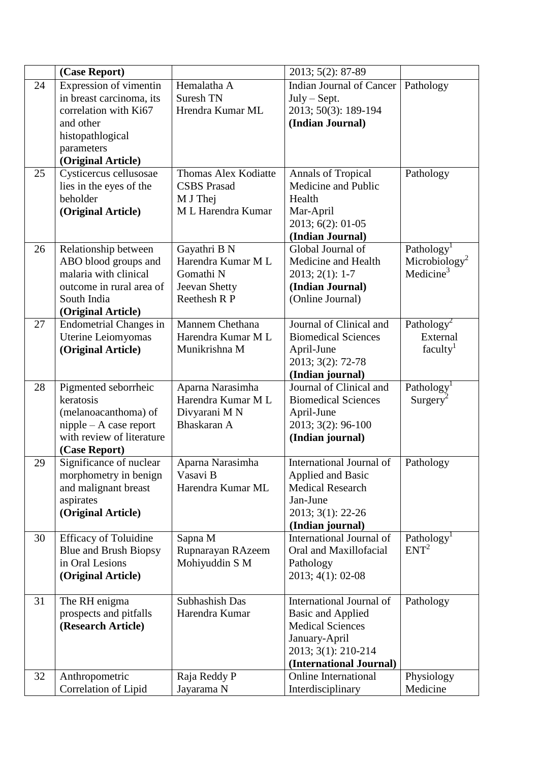|    | (Case Report)                                                                                                                                    |                                                                                  | 2013; 5(2): 87-89                                                                                                                                  |                                                                              |
|----|--------------------------------------------------------------------------------------------------------------------------------------------------|----------------------------------------------------------------------------------|----------------------------------------------------------------------------------------------------------------------------------------------------|------------------------------------------------------------------------------|
| 24 | Expression of vimentin<br>in breast carcinoma, its<br>correlation with Ki67<br>and other<br>histopathlogical<br>parameters<br>(Original Article) | Hemalatha A<br>Suresh TN<br>Hrendra Kumar ML                                     | Indian Journal of Cancer<br>$July - Sept.$<br>2013; 50(3): 189-194<br>(Indian Journal)                                                             | Pathology                                                                    |
| 25 | Cysticercus cellusosae<br>lies in the eyes of the<br>beholder<br>(Original Article)                                                              | Thomas Alex Kodiatte<br><b>CSBS</b> Prasad<br>M J Thej<br>M L Harendra Kumar     | <b>Annals of Tropical</b><br>Medicine and Public<br>Health<br>Mar-April<br>2013; 6(2): 01-05<br>(Indian Journal)                                   | Pathology                                                                    |
| 26 | Relationship between<br>ABO blood groups and<br>malaria with clinical<br>outcome in rural area of<br>South India<br>(Original Article)           | Gayathri B N<br>Harendra Kumar M L<br>Gomathi N<br>Jeevan Shetty<br>Reethesh R P | Global Journal of<br>Medicine and Health<br>$2013; 2(1): 1-7$<br>(Indian Journal)<br>(Online Journal)                                              | Pathology <sup>1</sup><br>Microbiology <sup>2</sup><br>Medicine <sup>3</sup> |
| 27 | <b>Endometrial Changes in</b><br>Uterine Leiomyomas<br>(Original Article)                                                                        | Mannem Chethana<br>Harendra Kumar M L<br>Munikrishna M                           | Journal of Clinical and<br><b>Biomedical Sciences</b><br>April-June<br>2013; 3(2): 72-78<br>(Indian journal)                                       | Pathology <sup>2</sup><br>External<br>faculty <sup>1</sup>                   |
| 28 | Pigmented seborrheic<br>keratosis<br>(melanoacanthoma) of<br>$n$ ipple – A case report<br>with review of literature<br>(Case Report)             | Aparna Narasimha<br>Harendra Kumar ML<br>Divyarani MN<br>Bhaskaran A             | Journal of Clinical and<br><b>Biomedical Sciences</b><br>April-June<br>2013; 3(2): 96-100<br>(Indian journal)                                      | Pathology <sup>1</sup><br>$Surgery^2$                                        |
| 29 | Significance of nuclear<br>morphometry in benign<br>and malignant breast<br>aspirates<br>(Original Article)                                      | Aparna Narasimha<br>Vasavi B<br>Harendra Kumar ML                                | International Journal of<br><b>Applied and Basic</b><br><b>Medical Research</b><br>Jan-June<br>2013; 3(1): 22-26<br>(Indian journal)               | Pathology                                                                    |
| 30 | <b>Efficacy of Toluidine</b><br>Blue and Brush Biopsy<br>in Oral Lesions<br>(Original Article)                                                   | Sapna M<br>Rupnarayan RAzeem<br>Mohiyuddin S M                                   | International Journal of<br>Oral and Maxillofacial<br>Pathology<br>2013; 4(1): 02-08                                                               | Pathology <sup>1</sup><br>ENT <sup>2</sup>                                   |
| 31 | The RH enigma<br>prospects and pitfalls<br>(Research Article)                                                                                    | Subhashish Das<br>Harendra Kumar                                                 | International Journal of<br><b>Basic and Applied</b><br><b>Medical Sciences</b><br>January-April<br>2013; 3(1): 210-214<br>(International Journal) | Pathology                                                                    |
| 32 | Anthropometric<br>Correlation of Lipid                                                                                                           | Raja Reddy P<br>Jayarama N                                                       | <b>Online International</b><br>Interdisciplinary                                                                                                   | Physiology<br>Medicine                                                       |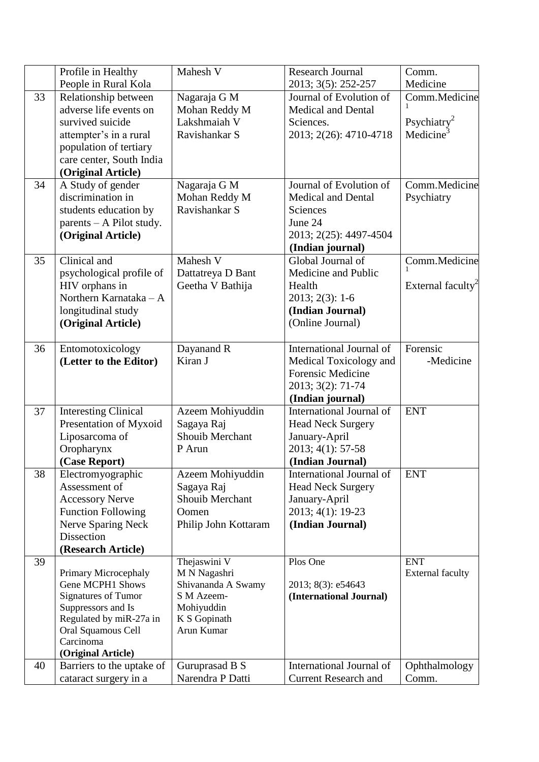|    | Profile in Healthy                                    | Mahesh V                         | <b>Research Journal</b>     | Comm.                         |
|----|-------------------------------------------------------|----------------------------------|-----------------------------|-------------------------------|
|    | People in Rural Kola                                  |                                  | 2013; 3(5): 252-257         | Medicine                      |
| 33 | Relationship between                                  | Nagaraja G M                     | Journal of Evolution of     | Comm.Medicine                 |
|    | adverse life events on                                | Mohan Reddy M                    | <b>Medical and Dental</b>   |                               |
|    | survived suicide                                      | Lakshmaiah V                     | Sciences.                   | Psychiatry <sup>2</sup>       |
|    | attempter's in a rural                                | Ravishankar S                    | 2013; 2(26): 4710-4718      | Medicine <sup>3</sup>         |
|    | population of tertiary                                |                                  |                             |                               |
|    | care center, South India                              |                                  |                             |                               |
|    | (Original Article)                                    |                                  |                             |                               |
| 34 | A Study of gender                                     | Nagaraja G M                     | Journal of Evolution of     | Comm.Medicine                 |
|    | discrimination in                                     | Mohan Reddy M                    | <b>Medical and Dental</b>   | Psychiatry                    |
|    | students education by                                 | Ravishankar S                    | Sciences                    |                               |
|    | $parents - A$ Pilot study.                            |                                  | June 24                     |                               |
|    | (Original Article)                                    |                                  | 2013; 2(25): 4497-4504      |                               |
|    |                                                       |                                  | (Indian journal)            |                               |
| 35 | Clinical and                                          | Mahesh V                         | Global Journal of           | Comm.Medicine                 |
|    | psychological profile of                              | Dattatreya D Bant                | Medicine and Public         |                               |
|    | HIV orphans in                                        | Geetha V Bathija                 | Health                      | External faculty <sup>2</sup> |
|    | Northern Karnataka - A                                |                                  | $2013; 2(3): 1-6$           |                               |
|    | longitudinal study                                    |                                  | (Indian Journal)            |                               |
|    | (Original Article)                                    |                                  | (Online Journal)            |                               |
|    |                                                       |                                  |                             |                               |
| 36 | Entomotoxicology                                      | Dayanand R                       | International Journal of    | Forensic                      |
|    | (Letter to the Editor)                                | Kiran J                          | Medical Toxicology and      | -Medicine                     |
|    |                                                       |                                  | <b>Forensic Medicine</b>    |                               |
|    |                                                       |                                  | 2013; 3(2): 71-74           |                               |
|    |                                                       |                                  | (Indian journal)            |                               |
| 37 | <b>Interesting Clinical</b>                           | Azeem Mohiyuddin                 | International Journal of    | <b>ENT</b>                    |
|    | Presentation of Myxoid                                | Sagaya Raj                       | <b>Head Neck Surgery</b>    |                               |
|    | Liposarcoma of                                        | Shouib Merchant                  | January-April               |                               |
|    | Oropharynx                                            | P Arun                           | 2013; 4(1): 57-58           |                               |
|    | (Case Report)                                         |                                  | (Indian Journal)            |                               |
| 38 | Electromyographic                                     | Azeem Mohiyuddin                 | International Journal of    | <b>ENT</b>                    |
|    | Assessment of                                         | Sagaya Raj                       | <b>Head Neck Surgery</b>    |                               |
|    | <b>Accessory Nerve</b>                                | Shouib Merchant                  | January-April               |                               |
|    | <b>Function Following</b>                             | Oomen                            | 2013; 4(1): 19-23           |                               |
|    | Nerve Sparing Neck                                    | Philip John Kottaram             | (Indian Journal)            |                               |
|    | Dissection                                            |                                  |                             |                               |
|    | (Research Article)                                    |                                  |                             |                               |
| 39 |                                                       | Thejaswini V                     | Plos One                    | <b>ENT</b>                    |
|    | Primary Microcephaly                                  | M N Nagashri                     |                             | <b>External faculty</b>       |
|    | <b>Gene MCPH1 Shows</b><br><b>Signatures of Tumor</b> | Shivananda A Swamy<br>S M Azeem- | 2013; 8(3): e54643          |                               |
|    | Suppressors and Is                                    | Mohiyuddin                       | (International Journal)     |                               |
|    | Regulated by miR-27a in                               | K S Gopinath                     |                             |                               |
|    | Oral Squamous Cell                                    | Arun Kumar                       |                             |                               |
|    | Carcinoma                                             |                                  |                             |                               |
|    | (Original Article)                                    |                                  |                             |                               |
| 40 | Barriers to the uptake of                             | Guruprasad B S                   | International Journal of    | Ophthalmology                 |
|    | cataract surgery in a                                 | Narendra P Datti                 | <b>Current Research and</b> | Comm.                         |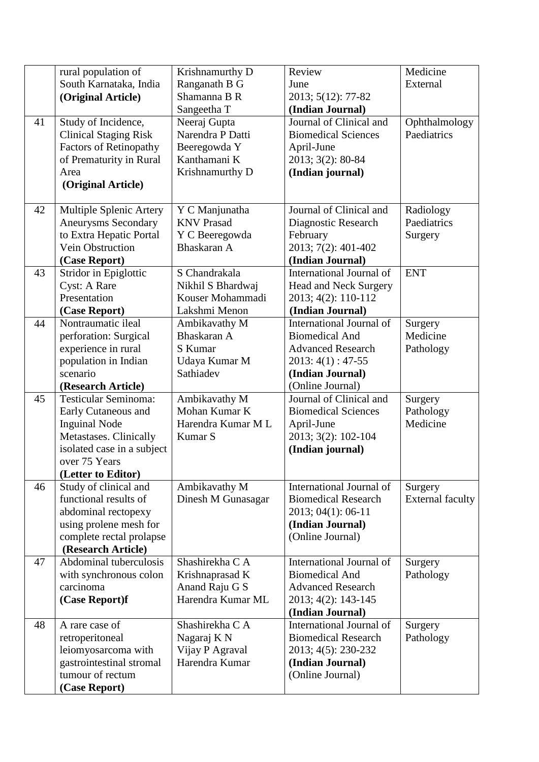|    | rural population of                          | Krishnamurthy D                   | Review                                              | Medicine                |
|----|----------------------------------------------|-----------------------------------|-----------------------------------------------------|-------------------------|
|    | South Karnataka, India                       | Ranganath B G                     | June                                                | External                |
|    | (Original Article)                           | Shamanna B R                      | 2013; 5(12): 77-82                                  |                         |
|    |                                              | Sangeetha T                       | (Indian Journal)                                    |                         |
| 41 | Study of Incidence,                          | Neeraj Gupta                      | Journal of Clinical and                             | Ophthalmology           |
|    | <b>Clinical Staging Risk</b>                 | Narendra P Datti                  | <b>Biomedical Sciences</b>                          | Paediatrics             |
|    | <b>Factors of Retinopathy</b>                | Beeregowda Y                      | April-June                                          |                         |
|    | of Prematurity in Rural                      | Kanthamani K                      | 2013; 3(2): 80-84                                   |                         |
|    | Area                                         | Krishnamurthy D                   | (Indian journal)                                    |                         |
|    | (Original Article)                           |                                   |                                                     |                         |
|    |                                              |                                   |                                                     |                         |
| 42 | Multiple Splenic Artery                      | Y C Manjunatha                    | Journal of Clinical and                             | Radiology               |
|    | <b>Aneurysms Secondary</b>                   | <b>KNV Prasad</b>                 | Diagnostic Research                                 | Paediatrics             |
|    | to Extra Hepatic Portal                      | Y C Beeregowda                    | February                                            | Surgery                 |
|    | Vein Obstruction                             | Bhaskaran A                       | 2013; 7(2): 401-402                                 |                         |
|    | (Case Report)                                | S Chandrakala                     | (Indian Journal)<br>International Journal of        | <b>ENT</b>              |
| 43 | Stridor in Epiglottic                        | Nikhil S Bhardwaj                 |                                                     |                         |
|    | <b>Cyst: A Rare</b><br>Presentation          | Kouser Mohammadi                  | <b>Head and Neck Surgery</b><br>2013; 4(2): 110-112 |                         |
|    |                                              | Lakshmi Menon                     | (Indian Journal)                                    |                         |
| 44 | (Case Report)<br>Nontraumatic ileal          | Ambikavathy M                     | International Journal of                            | Surgery                 |
|    | perforation: Surgical                        | Bhaskaran A                       | <b>Biomedical And</b>                               | Medicine                |
|    | experience in rural                          | S Kumar                           | <b>Advanced Research</b>                            | Pathology               |
|    | population in Indian                         | Udaya Kumar M                     | $2013:4(1):47-55$                                   |                         |
|    | scenario                                     | Sathiadev                         | (Indian Journal)                                    |                         |
|    | (Research Article)                           |                                   | (Online Journal)                                    |                         |
| 45 | <b>Testicular Seminoma:</b>                  | Ambikavathy M                     | Journal of Clinical and                             | Surgery                 |
|    | Early Cutaneous and                          | Mohan Kumar K                     | <b>Biomedical Sciences</b>                          | Pathology               |
|    | <b>Inguinal Node</b>                         | Harendra Kumar M L                | April-June                                          | Medicine                |
|    | Metastases. Clinically                       | Kumar S                           | 2013; 3(2): 102-104                                 |                         |
|    | isolated case in a subject                   |                                   | (Indian journal)                                    |                         |
|    | over 75 Years                                |                                   |                                                     |                         |
|    | (Letter to Editor)                           |                                   |                                                     |                         |
| 46 | Study of clinical and                        | Ambikavathy M                     | International Journal of                            | Surgery                 |
|    | functional results of                        | Dinesh M Gunasagar                | <b>Biomedical Research</b>                          | <b>External faculty</b> |
|    | abdominal rectopexy                          |                                   | 2013; 04(1): 06-11                                  |                         |
|    | using prolene mesh for                       |                                   | (Indian Journal)                                    |                         |
|    | complete rectal prolapse                     |                                   | (Online Journal)                                    |                         |
|    | (Research Article)                           |                                   |                                                     |                         |
| 47 | Abdominal tuberculosis                       | Shashirekha C A                   | International Journal of                            | Surgery                 |
|    | with synchronous colon                       | Krishnaprasad K                   | <b>Biomedical And</b>                               | Pathology               |
|    | carcinoma                                    | Anand Raju G S                    | <b>Advanced Research</b>                            |                         |
|    | (Case Report)f                               | Harendra Kumar ML                 | 2013; 4(2): 143-145                                 |                         |
|    |                                              |                                   | (Indian Journal)                                    |                         |
| 48 | A rare case of                               | Shashirekha C A                   | International Journal of                            | Surgery                 |
|    | retroperitoneal                              | Nagaraj K N                       | <b>Biomedical Research</b>                          | Pathology               |
|    | leiomyosarcoma with                          | Vijay P Agraval<br>Harendra Kumar | 2013; 4(5): 230-232                                 |                         |
|    | gastrointestinal stromal<br>tumour of rectum |                                   | (Indian Journal)<br>(Online Journal)                |                         |
|    |                                              |                                   |                                                     |                         |
|    | (Case Report)                                |                                   |                                                     |                         |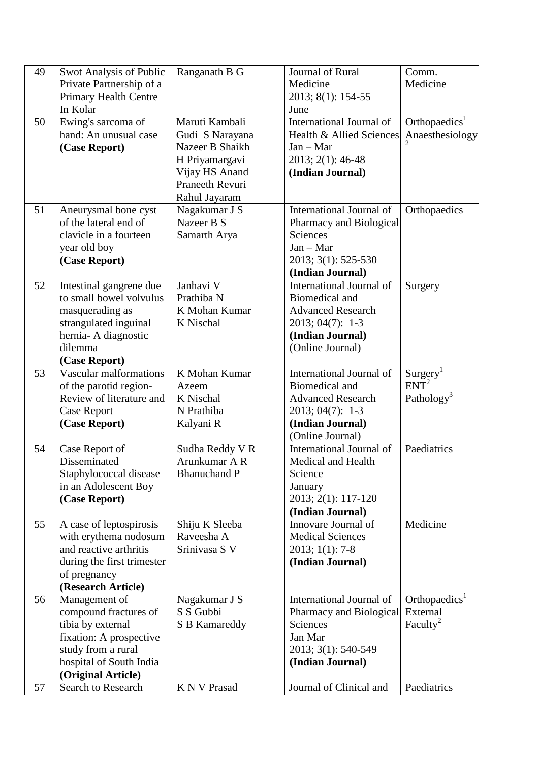| 49       | Swot Analysis of Public<br>Private Partnership of a                                                                                                                                 | Ranganath B G                                                                                                                       | Journal of Rural<br>Medicine                                                                                                                     | Comm.<br>Medicine                                                            |
|----------|-------------------------------------------------------------------------------------------------------------------------------------------------------------------------------------|-------------------------------------------------------------------------------------------------------------------------------------|--------------------------------------------------------------------------------------------------------------------------------------------------|------------------------------------------------------------------------------|
|          | <b>Primary Health Centre</b><br>In Kolar                                                                                                                                            |                                                                                                                                     | 2013; 8(1): 154-55<br>June                                                                                                                       |                                                                              |
| 50       | Ewing's sarcoma of<br>hand: An unusual case<br>(Case Report)                                                                                                                        | Maruti Kambali<br>Gudi S Narayana<br>Nazeer B Shaikh<br>H Priyamargavi<br>Vijay HS Anand<br><b>Praneeth Revuri</b><br>Rahul Jayaram | International Journal of<br>Health & Allied Sciences<br>$Jan - Mar$<br>2013; 2(1): 46-48<br>(Indian Journal)                                     | Orthopaedics <sup>1</sup><br>Anaesthesiology                                 |
| 51       | Aneurysmal bone cyst<br>of the lateral end of<br>clavicle in a fourteen<br>year old boy<br>(Case Report)                                                                            | Nagakumar J S<br>Nazeer B S<br>Samarth Arya                                                                                         | International Journal of<br>Pharmacy and Biological<br>Sciences<br>$Jan - Mar$<br>2013; 3(1): 525-530<br>(Indian Journal)                        | Orthopaedics                                                                 |
| 52       | Intestinal gangrene due<br>to small bowel volvulus<br>masquerading as<br>strangulated inguinal<br>hernia- A diagnostic<br>dilemma<br>(Case Report)                                  | Janhavi V<br>Prathiba N<br>K Mohan Kumar<br>K Nischal                                                                               | International Journal of<br><b>Biomedical and</b><br><b>Advanced Research</b><br>2013; 04(7): 1-3<br>(Indian Journal)<br>(Online Journal)        | Surgery                                                                      |
| 53       | Vascular malformations<br>of the parotid region-<br>Review of literature and<br><b>Case Report</b><br>(Case Report)                                                                 | K Mohan Kumar<br>Azeem<br>K Nischal<br>N Prathiba<br>Kalyani R                                                                      | International Journal of<br><b>Biomedical</b> and<br><b>Advanced Research</b><br>$2013; 04(7): 1-3$<br>(Indian Journal)<br>(Online Journal)      | Surgery <sup>1</sup><br>$ENT^2$<br>Pathology <sup>3</sup>                    |
| 54       | Case Report of<br>Disseminated<br>Staphylococcal disease<br>in an Adolescent Boy<br>(Case Report)                                                                                   | Sudha Reddy V R<br>Arunkumar A R<br><b>Bhanuchand P</b>                                                                             | International Journal of<br>Medical and Health<br>Science<br>January<br>2013; 2(1): 117-120<br>(Indian Journal)                                  | Paediatrics                                                                  |
| 55       | A case of leptospirosis<br>with erythema nodosum<br>and reactive arthritis<br>during the first trimester<br>of pregnancy<br>(Research Article)                                      | Shiju K Sleeba<br>Raveesha A<br>Srinivasa S V                                                                                       | Innovare Journal of<br><b>Medical Sciences</b><br>$2013; 1(1): 7-8$<br>(Indian Journal)                                                          | Medicine                                                                     |
| 56<br>57 | Management of<br>compound fractures of<br>tibia by external<br>fixation: A prospective<br>study from a rural<br>hospital of South India<br>(Original Article)<br>Search to Research | Nagakumar J S<br>S S Gubbi<br>S B Kamareddy<br><b>K N V Prasad</b>                                                                  | International Journal of<br>Pharmacy and Biological<br>Sciences<br>Jan Mar<br>2013; 3(1): 540-549<br>(Indian Journal)<br>Journal of Clinical and | Orthopaedics <sup>1</sup><br>External<br>Faculty <sup>2</sup><br>Paediatrics |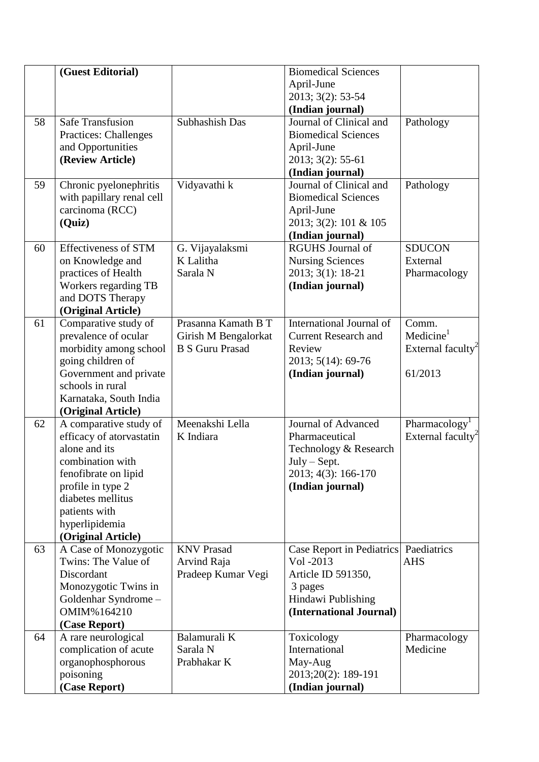|    | (Guest Editorial)            |                                                | <b>Biomedical Sciences</b>  |                               |
|----|------------------------------|------------------------------------------------|-----------------------------|-------------------------------|
|    |                              |                                                | April-June                  |                               |
|    |                              |                                                | 2013; 3(2): 53-54           |                               |
|    |                              |                                                | (Indian journal)            |                               |
| 58 | <b>Safe Transfusion</b>      | Subhashish Das                                 | Journal of Clinical and     | Pathology                     |
|    | <b>Practices: Challenges</b> |                                                | <b>Biomedical Sciences</b>  |                               |
|    | and Opportunities            |                                                | April-June                  |                               |
|    | (Review Article)             |                                                | 2013; 3(2): 55-61           |                               |
|    |                              |                                                | (Indian journal)            |                               |
| 59 | Chronic pyelonephritis       | Vidyavathi k                                   | Journal of Clinical and     | Pathology                     |
|    | with papillary renal cell    |                                                | <b>Biomedical Sciences</b>  |                               |
|    | carcinoma (RCC)              |                                                | April-June                  |                               |
|    | (Quiz)                       |                                                | 2013; 3(2): 101 & 105       |                               |
|    |                              |                                                | (Indian journal)            |                               |
| 60 | <b>Effectiveness of STM</b>  | G. Vijayalaksmi                                | <b>RGUHS</b> Journal of     | <b>SDUCON</b>                 |
|    | on Knowledge and             | K Lalitha                                      | <b>Nursing Sciences</b>     | External                      |
|    | practices of Health          | Sarala N                                       | 2013; 3(1): 18-21           | Pharmacology                  |
|    |                              |                                                |                             |                               |
|    | Workers regarding TB         |                                                | (Indian journal)            |                               |
|    | and DOTS Therapy             |                                                |                             |                               |
| 61 | (Original Article)           | Prasanna Kamath B T                            | International Journal of    | Comm.                         |
|    | Comparative study of         |                                                | <b>Current Research and</b> | Medicine <sup>1</sup>         |
|    | prevalence of ocular         | Girish M Bengalorkat<br><b>B S Guru Prasad</b> | Review                      |                               |
|    | morbidity among school       |                                                |                             | External faculty <sup>2</sup> |
|    | going children of            |                                                | 2013; 5(14): 69-76          |                               |
|    | Government and private       |                                                | (Indian journal)            | 61/2013                       |
|    | schools in rural             |                                                |                             |                               |
|    | Karnataka, South India       |                                                |                             |                               |
|    | (Original Article)           |                                                |                             |                               |
| 62 | A comparative study of       | Meenakshi Lella<br>K Indiara                   | Journal of Advanced         | Pharmacology <sup>1</sup>     |
|    | efficacy of atorvastatin     |                                                | Pharmaceutical              | External faculty <sup>2</sup> |
|    | alone and its                |                                                | Technology & Research       |                               |
|    | combination with             |                                                | $July - Sept.$              |                               |
|    | fenofibrate on lipid         |                                                | 2013; 4(3): 166-170         |                               |
|    | profile in type 2            |                                                | (Indian journal)            |                               |
|    | diabetes mellitus            |                                                |                             |                               |
|    | patients with                |                                                |                             |                               |
|    | hyperlipidemia               |                                                |                             |                               |
|    | (Original Article)           |                                                |                             |                               |
| 63 | A Case of Monozygotic        | <b>KNV Prasad</b>                              | Case Report in Pediatrics   | Paediatrics                   |
|    | Twins: The Value of          | Arvind Raja                                    | Vol -2013                   | <b>AHS</b>                    |
|    | Discordant                   | Pradeep Kumar Vegi                             | Article ID 591350,          |                               |
|    | Monozygotic Twins in         |                                                | 3 pages                     |                               |
|    | Goldenhar Syndrome -         |                                                | Hindawi Publishing          |                               |
|    | OMIM%164210                  |                                                | (International Journal)     |                               |
|    | (Case Report)                |                                                |                             |                               |
| 64 | A rare neurological          | Balamurali K                                   | Toxicology                  | Pharmacology                  |
|    | complication of acute        | Sarala N                                       | International               | Medicine                      |
|    | organophosphorous            | Prabhakar K                                    | May-Aug                     |                               |
|    | poisoning                    |                                                | 2013;20(2): 189-191         |                               |
|    | (Case Report)                |                                                | (Indian journal)            |                               |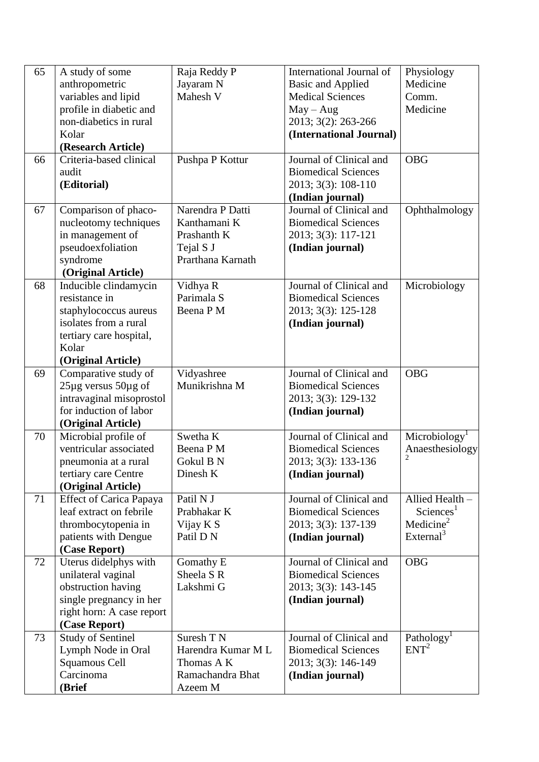| 65 | A study of some                | Raja Reddy P       | International Journal of   | Physiology                |
|----|--------------------------------|--------------------|----------------------------|---------------------------|
|    | anthropometric                 | Jayaram N          | <b>Basic and Applied</b>   | Medicine                  |
|    | variables and lipid            | Mahesh V           | <b>Medical Sciences</b>    | Comm.                     |
|    | profile in diabetic and        |                    | $May - Aug$                | Medicine                  |
|    | non-diabetics in rural         |                    | 2013; 3(2): 263-266        |                           |
|    | Kolar                          |                    | (International Journal)    |                           |
|    | (Research Article)             |                    |                            |                           |
| 66 | Criteria-based clinical        | Pushpa P Kottur    | Journal of Clinical and    | <b>OBG</b>                |
|    | audit                          |                    | <b>Biomedical Sciences</b> |                           |
|    | (Editorial)                    |                    | 2013; 3(3): 108-110        |                           |
|    |                                |                    | (Indian journal)           |                           |
| 67 | Comparison of phaco-           | Narendra P Datti   | Journal of Clinical and    | Ophthalmology             |
|    | nucleotomy techniques          | Kanthamani K       | <b>Biomedical Sciences</b> |                           |
|    | in management of               | Prashanth K        | 2013; 3(3): 117-121        |                           |
|    | pseudoexfoliation              | Tejal S J          | (Indian journal)           |                           |
|    | syndrome                       | Prarthana Karnath  |                            |                           |
|    | (Original Article)             |                    |                            |                           |
| 68 | Inducible clindamycin          | Vidhya R           | Journal of Clinical and    | Microbiology              |
|    | resistance in                  | Parimala S         | <b>Biomedical Sciences</b> |                           |
|    | staphylococcus aureus          | Beena P M          | 2013; 3(3): 125-128        |                           |
|    | isolates from a rural          |                    | (Indian journal)           |                           |
|    | tertiary care hospital,        |                    |                            |                           |
|    | Kolar                          |                    |                            |                           |
|    | (Original Article)             |                    |                            |                           |
| 69 | Comparative study of           | Vidyashree         | Journal of Clinical and    | <b>OBG</b>                |
|    | $25\mu$ g versus $50\mu$ g of  | Munikrishna M      | <b>Biomedical Sciences</b> |                           |
|    | intravaginal misoprostol       |                    | 2013; 3(3): 129-132        |                           |
|    | for induction of labor         |                    | (Indian journal)           |                           |
|    | (Original Article)             |                    |                            |                           |
| 70 | Microbial profile of           | Swetha K           | Journal of Clinical and    | Microbiology <sup>1</sup> |
|    | ventricular associated         | Beena P M          | <b>Biomedical Sciences</b> | Anaesthesiology           |
|    | pneumonia at a rural           | Gokul B N          | 2013; 3(3): 133-136        |                           |
|    | tertiary care Centre           | Dinesh K           | (Indian journal)           |                           |
|    | (Original Article)             |                    |                            |                           |
| 71 | <b>Effect of Carica Papaya</b> | Patil N J          | Journal of Clinical and    | Allied Health -           |
|    | leaf extract on febrile        | Prabhakar K        | <b>Biomedical Sciences</b> | Sciences <sup>1</sup>     |
|    | thrombocytopenia in            | Vijay K S          | 2013; 3(3): 137-139        | Medicine $2$              |
|    | patients with Dengue           | Patil D N          | (Indian journal)           | External <sup>3</sup>     |
|    | (Case Report)                  |                    |                            |                           |
| 72 | Uterus didelphys with          | Gomathy E          | Journal of Clinical and    | <b>OBG</b>                |
|    | unilateral vaginal             | Sheela S R         | <b>Biomedical Sciences</b> |                           |
|    | obstruction having             | Lakshmi G          | 2013; 3(3): 143-145        |                           |
|    | single pregnancy in her        |                    | (Indian journal)           |                           |
|    | right horn: A case report      |                    |                            |                           |
|    | (Case Report)                  |                    |                            |                           |
| 73 | <b>Study of Sentinel</b>       | Suresh T N         | Journal of Clinical and    | Pathology <sup>1</sup>    |
|    | Lymph Node in Oral             | Harendra Kumar M L | <b>Biomedical Sciences</b> | ENT <sup>2</sup>          |
|    | Squamous Cell                  | Thomas A K         | 2013; 3(3): 146-149        |                           |
|    | Carcinoma                      | Ramachandra Bhat   | (Indian journal)           |                           |
|    | (Brief                         | Azeem M            |                            |                           |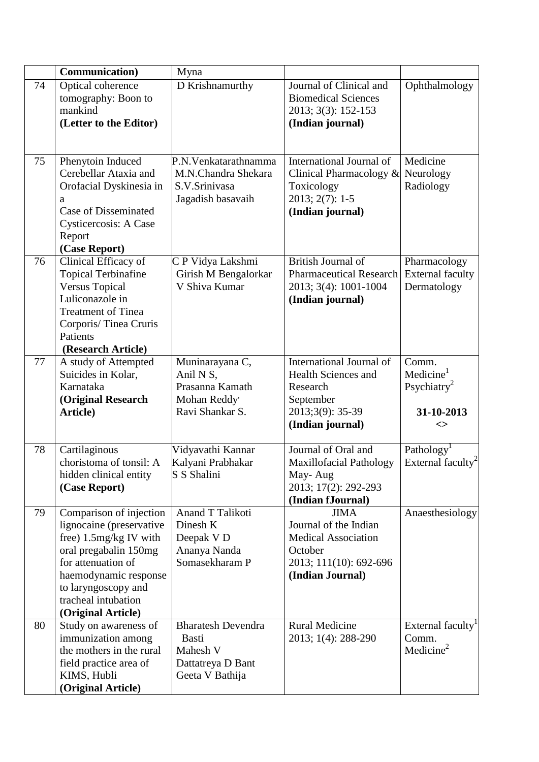|    | Communication)                                                                                                                                                                                                              | Myna                                                                                   |                                                                                                                             |                                                                               |
|----|-----------------------------------------------------------------------------------------------------------------------------------------------------------------------------------------------------------------------------|----------------------------------------------------------------------------------------|-----------------------------------------------------------------------------------------------------------------------------|-------------------------------------------------------------------------------|
| 74 | Optical coherence<br>tomography: Boon to<br>mankind<br>(Letter to the Editor)                                                                                                                                               | D Krishnamurthy                                                                        | Journal of Clinical and<br><b>Biomedical Sciences</b><br>2013; 3(3): 152-153<br>(Indian journal)                            | Ophthalmology                                                                 |
| 75 | Phenytoin Induced<br>Cerebellar Ataxia and<br>Orofacial Dyskinesia in<br>a<br><b>Case of Disseminated</b><br>Cysticercosis: A Case<br>Report<br>(Case Report)                                                               | P.N. Venkatarathnamma<br>M.N.Chandra Shekara<br>S.V.Srinivasa<br>Jagadish basavaih     | International Journal of<br>Clinical Pharmacology $\&$<br>Toxicology<br>2013; 2(7): 1-5<br>(Indian journal)                 | Medicine<br>Neurology<br>Radiology                                            |
| 76 | Clinical Efficacy of<br><b>Topical Terbinafine</b><br><b>Versus Topical</b><br>Luliconazole in<br>Treatment of Tinea<br>Corporis/Tinea Cruris<br>Patients<br>(Research Article)                                             | C P Vidya Lakshmi<br>Girish M Bengalorkar<br>V Shiva Kumar                             | British Journal of<br><b>Pharmaceutical Research</b><br>2013; 3(4): 1001-1004<br>(Indian journal)                           | Pharmacology<br><b>External faculty</b><br>Dermatology                        |
| 77 | A study of Attempted<br>Suicides in Kolar,<br>Karnataka<br>(Original Research<br>Article)                                                                                                                                   | Muninarayana C,<br>Anil N S,<br>Prasanna Kamath<br>Mohan Reddy'<br>Ravi Shankar S.     | International Journal of<br><b>Health Sciences and</b><br>Research<br>September<br>2013;3(9): 35-39<br>(Indian journal)     | Comm.<br>Medicine <sup>1</sup><br>Psychiatry <sup>2</sup><br>31-10-2013<br><> |
| 78 | Cartilaginous<br>choristoma of tonsil: A<br>hidden clinical entity<br>(Case Report)                                                                                                                                         | Vidyavathi Kannar<br>Kalyani Prabhakar<br>S S Shalini                                  | Journal of Oral and<br><b>Maxillofacial Pathology</b><br>May-Aug<br>2013; 17(2): 292-293<br>(Indian fJournal)               | Pathology<br>External faculty <sup>2</sup>                                    |
| 79 | Comparison of injection<br>lignocaine (preservative<br>free) $1.5mg/kg$ IV with<br>oral pregabalin 150mg<br>for attenuation of<br>haemodynamic response<br>to laryngoscopy and<br>tracheal intubation<br>(Original Article) | Anand T Talikoti<br>Dinesh K<br>Deepak V D<br>Ananya Nanda<br>Somasekharam P           | <b>JIMA</b><br>Journal of the Indian<br><b>Medical Association</b><br>October<br>2013; 111(10): 692-696<br>(Indian Journal) | Anaesthesiology                                                               |
| 80 | Study on awareness of<br>immunization among<br>the mothers in the rural<br>field practice area of<br>KIMS, Hubli<br>(Original Article)                                                                                      | <b>Bharatesh Devendra</b><br>Basti<br>Mahesh V<br>Dattatreya D Bant<br>Geeta V Bathija | <b>Rural Medicine</b><br>2013; 1(4): 288-290                                                                                | External faculty <sup>1</sup><br>Comm.<br>Medicine <sup>2</sup>               |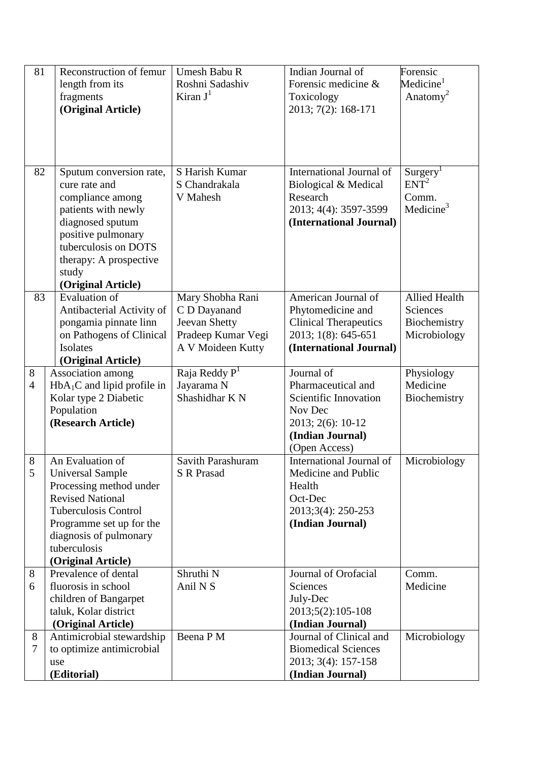| 81                  | Reconstruction of femur<br>length from its<br>fragments<br>(Original Article)                                                                                                                                                | Umesh Babu R<br>Roshni Sadashiv<br>Kiran $J^1$                                               | Indian Journal of<br>Forensic medicine &<br>Toxicology<br>2013; 7(2): 168-171                                                  | Forensic<br>Medicine <sup>1</sup><br>Anatomy <sup>2</sup>                  |
|---------------------|------------------------------------------------------------------------------------------------------------------------------------------------------------------------------------------------------------------------------|----------------------------------------------------------------------------------------------|--------------------------------------------------------------------------------------------------------------------------------|----------------------------------------------------------------------------|
|                     |                                                                                                                                                                                                                              |                                                                                              |                                                                                                                                |                                                                            |
| 82                  | Sputum conversion rate,<br>cure rate and<br>compliance among<br>patients with newly<br>diagnosed sputum<br>positive pulmonary<br>tuberculosis on DOTS<br>therapy: A prospective<br>study<br>(Original Article)               | S Harish Kumar<br>S Chandrakala<br>V Mahesh                                                  | International Journal of<br>Biological & Medical<br>Research<br>2013; 4(4): 3597-3599<br>(International Journal)               | Surgery <sup>1</sup><br>ENT <sup>2</sup><br>Comm.<br>Medicine <sup>3</sup> |
| 83                  | <b>Evaluation</b> of<br>Antibacterial Activity of<br>pongamia pinnate linn<br>on Pathogens of Clinical<br>Isolates<br>(Original Article)                                                                                     | Mary Shobha Rani<br>C D Dayanand<br>Jeevan Shetty<br>Pradeep Kumar Vegi<br>A V Moideen Kutty | American Journal of<br>Phytomedicine and<br><b>Clinical Therapeutics</b><br>2013; 1(8): 645-651<br>(International Journal)     | <b>Allied Health</b><br>Sciences<br>Biochemistry<br>Microbiology           |
| 8<br>$\overline{4}$ | Association among<br>$HbA1C$ and lipid profile in<br>Kolar type 2 Diabetic<br>Population<br>(Research Article)                                                                                                               | Raja Reddy $\overline{P}^1$<br>Jayarama N<br>Shashidhar K N                                  | Journal of<br>Pharmaceutical and<br>Scientific Innovation<br>Nov Dec<br>2013; 2(6): 10-12<br>(Indian Journal)<br>(Open Access) | Physiology<br>Medicine<br>Biochemistry                                     |
| 8<br>5              | An Evaluation of<br><b>Universal Sample</b><br>Processing method under<br><b>Revised National</b><br><b>Tuberculosis Control</b><br>Programme set up for the<br>diagnosis of pulmonary<br>tuberculosis<br>(Original Article) | Savith Parashuram<br><b>S</b> R Prasad                                                       | International Journal of<br>Medicine and Public<br>Health<br>Oct-Dec<br>2013;3(4): 250-253<br>(Indian Journal)                 | Microbiology                                                               |
| 8<br>6              | Prevalence of dental<br>fluorosis in school<br>children of Bangarpet<br>taluk, Kolar district<br>(Original Article)                                                                                                          | Shruthi N<br>Anil N <sub>S</sub>                                                             | Journal of Orofacial<br>Sciences<br>July-Dec<br>2013;5(2):105-108<br>(Indian Journal)                                          | Comm.<br>Medicine                                                          |
| 8<br>7              | Antimicrobial stewardship<br>to optimize antimicrobial<br>use<br>(Editorial)                                                                                                                                                 | Beena P M                                                                                    | Journal of Clinical and<br><b>Biomedical Sciences</b><br>2013; 3(4): 157-158<br>(Indian Journal)                               | Microbiology                                                               |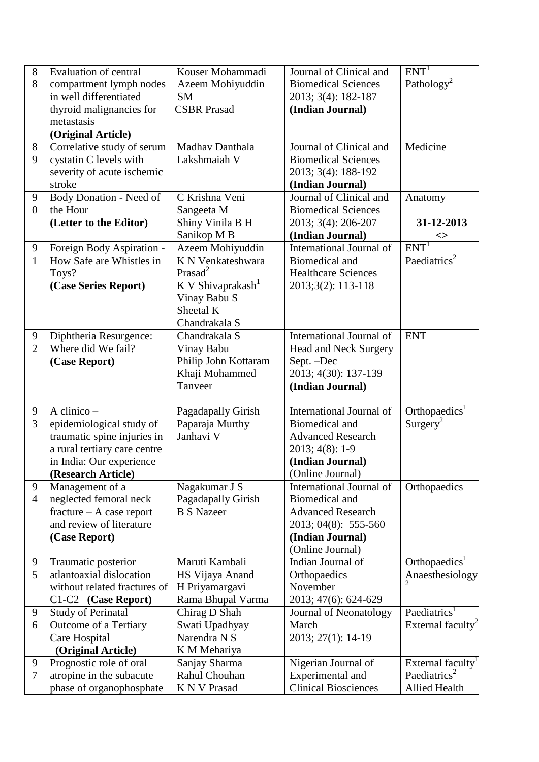| 8<br>8         | <b>Evaluation of central</b><br>compartment lymph nodes     | Kouser Mohammadi<br>Azeem Mohiyuddin | Journal of Clinical and<br><b>Biomedical Sciences</b> | ENT <sup>T</sup><br>Pathology <sup>2</sup>                |
|----------------|-------------------------------------------------------------|--------------------------------------|-------------------------------------------------------|-----------------------------------------------------------|
|                | in well differentiated                                      | <b>SM</b>                            | 2013; 3(4): 182-187                                   |                                                           |
|                | thyroid malignancies for                                    | <b>CSBR</b> Prasad                   | (Indian Journal)                                      |                                                           |
|                | metastasis                                                  |                                      |                                                       |                                                           |
|                | (Original Article)                                          |                                      |                                                       |                                                           |
| 8              | Correlative study of serum                                  | Madhav Danthala                      | Journal of Clinical and                               | Medicine                                                  |
| 9              | cystatin C levels with                                      | Lakshmaiah V                         | <b>Biomedical Sciences</b>                            |                                                           |
|                | severity of acute ischemic                                  |                                      | 2013; 3(4): 188-192                                   |                                                           |
|                | stroke                                                      |                                      | (Indian Journal)                                      |                                                           |
| 9              | Body Donation - Need of                                     | C Krishna Veni                       | Journal of Clinical and                               | Anatomy                                                   |
| $\overline{0}$ | the Hour                                                    | Sangeeta M                           | <b>Biomedical Sciences</b>                            |                                                           |
|                | (Letter to the Editor)                                      | Shiny Vinila B H<br>Sanikop M B      | 2013; 3(4): 206-207<br>(Indian Journal)               | 31-12-2013                                                |
| 9              | Foreign Body Aspiration -                                   | Azeem Mohiyuddin                     | International Journal of                              | <><br>ENT <sup>1</sup>                                    |
| $\mathbf{1}$   | How Safe are Whistles in                                    | K N Venkateshwara                    | <b>Biomedical and</b>                                 | Paediatrics <sup>2</sup>                                  |
|                | Toys?                                                       | Prasad <sup>2</sup>                  | <b>Healthcare Sciences</b>                            |                                                           |
|                | (Case Series Report)                                        | K V Shivaprakash <sup>1</sup>        | 2013;3(2): 113-118                                    |                                                           |
|                |                                                             | Vinay Babu S                         |                                                       |                                                           |
|                |                                                             | Sheetal K                            |                                                       |                                                           |
|                |                                                             | Chandrakala S                        |                                                       |                                                           |
| 9              | Diphtheria Resurgence:                                      | Chandrakala S                        | International Journal of                              | <b>ENT</b>                                                |
| $\overline{2}$ | Where did We fail?                                          | Vinay Babu                           | <b>Head and Neck Surgery</b>                          |                                                           |
|                | (Case Report)                                               | Philip John Kottaram                 | Sept. -Dec                                            |                                                           |
|                |                                                             | Khaji Mohammed                       | 2013; 4(30): 137-139                                  |                                                           |
|                |                                                             | Tanveer                              | (Indian Journal)                                      |                                                           |
|                |                                                             |                                      |                                                       |                                                           |
|                |                                                             |                                      |                                                       |                                                           |
| 9              | A clinico $-$                                               | Pagadapally Girish                   | International Journal of                              | Orthopaedics <sup>1</sup>                                 |
| 3              | epidemiological study of                                    | Paparaja Murthy<br>Janhavi V         | <b>Biomedical and</b><br><b>Advanced Research</b>     | Surgery <sup>2</sup>                                      |
|                | traumatic spine injuries in<br>a rural tertiary care centre |                                      |                                                       |                                                           |
|                | in India: Our experience                                    |                                      | $2013; 4(8): 1-9$<br>(Indian Journal)                 |                                                           |
|                | (Research Article)                                          |                                      | (Online Journal)                                      |                                                           |
| 9              | Management of a                                             | Nagakumar J S                        | International Journal of                              | Orthopaedics                                              |
| $\overline{4}$ | neglected femoral neck                                      | Pagadapally Girish                   | <b>Biomedical and</b>                                 |                                                           |
|                | $fracture - A case report$                                  | <b>B S Nazeer</b>                    | <b>Advanced Research</b>                              |                                                           |
|                | and review of literature                                    |                                      | 2013; 04(8): 555-560                                  |                                                           |
|                | (Case Report)                                               |                                      | (Indian Journal)                                      |                                                           |
|                |                                                             |                                      | (Online Journal)                                      |                                                           |
| 9              | Traumatic posterior                                         | Maruti Kambali                       | Indian Journal of                                     | Orthopaedics <sup>1</sup>                                 |
| 5              | atlantoaxial dislocation                                    | HS Vijaya Anand                      | Orthopaedics                                          | Anaesthesiology                                           |
|                | without related fractures of                                | H Priyamargavi                       | November                                              |                                                           |
|                | C1-C2 (Case Report)                                         | Rama Bhupal Varma                    | 2013; 47(6): 624-629                                  |                                                           |
| 9              | <b>Study of Perinatal</b>                                   | Chirag D Shah                        | Journal of Neonatology                                | Paediatrics <sup>1</sup>                                  |
| 6              | Outcome of a Tertiary                                       | Swati Upadhyay                       | March                                                 | External faculty <sup>2</sup>                             |
|                | Care Hospital                                               | Narendra N S                         | 2013; 27(1): 14-19                                    |                                                           |
| 9              | (Original Article)                                          | K M Mehariya                         |                                                       |                                                           |
| 7              | Prognostic role of oral<br>atropine in the subacute         | Sanjay Sharma<br>Rahul Chouhan       | Nigerian Journal of<br>Experimental and               | External faculty <sup>1</sup><br>Paediatrics <sup>2</sup> |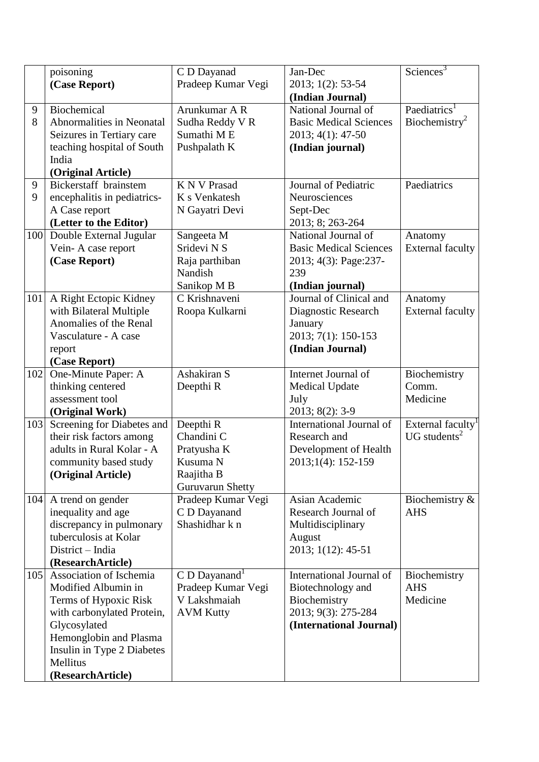|     | poisoning                   | C D Dayanad                 | Jan-Dec                       | Science <sup>3</sup>      |
|-----|-----------------------------|-----------------------------|-------------------------------|---------------------------|
|     | (Case Report)               | Pradeep Kumar Vegi          | 2013; 1(2): 53-54             |                           |
|     |                             |                             | (Indian Journal)              |                           |
| 9   | Biochemical                 | Arunkumar A R               | National Journal of           | Paediatrics <sup>1</sup>  |
| 8   | Abnormalities in Neonatal   | Sudha Reddy V R             | <b>Basic Medical Sciences</b> | Biochemistry <sup>2</sup> |
|     | Seizures in Tertiary care   | Sumathi ME                  | 2013; 4(1): 47-50             |                           |
|     | teaching hospital of South  | Pushpalath K                | (Indian journal)              |                           |
|     | India                       |                             |                               |                           |
|     | (Original Article)          |                             |                               |                           |
| 9   | Bickerstaff brainstem       | <b>K N V Prasad</b>         | Journal of Pediatric          | Paediatrics               |
| 9   | encephalitis in pediatrics- | K s Venkatesh               | Neurosciences                 |                           |
|     | A Case report               | N Gayatri Devi              | Sept-Dec                      |                           |
|     | (Letter to the Editor)      |                             | 2013; 8; 263-264              |                           |
| 100 | Double External Jugular     | Sangeeta M                  | National Journal of           | Anatomy                   |
|     | Vein-A case report          | Sridevi N S                 | <b>Basic Medical Sciences</b> | <b>External faculty</b>   |
|     | (Case Report)               | Raja parthiban              | 2013; 4(3): Page:237-         |                           |
|     |                             | Nandish                     | 239                           |                           |
|     |                             | Sanikop M B                 | (Indian journal)              |                           |
| 101 | A Right Ectopic Kidney      | C Krishnaveni               | Journal of Clinical and       | Anatomy                   |
|     | with Bilateral Multiple     | Roopa Kulkarni              | Diagnostic Research           | <b>External faculty</b>   |
|     | Anomalies of the Renal      |                             | January                       |                           |
|     | Vasculature - A case        |                             | 2013; 7(1): 150-153           |                           |
|     | report                      |                             | (Indian Journal)              |                           |
|     | (Case Report)               |                             |                               |                           |
| 102 | One-Minute Paper: A         | Ashakiran S                 | Internet Journal of           | Biochemistry              |
|     | thinking centered           | Deepthi R                   | <b>Medical Update</b>         | Comm.                     |
|     | assessment tool             |                             | July                          | Medicine                  |
|     | (Original Work)             |                             | 2013; 8(2): 3-9               |                           |
| 103 | Screening for Diabetes and  | Deepthi R                   | International Journal of      | External faculty          |
|     | their risk factors among    | Chandini C                  | Research and                  | UG students $2$           |
|     | adults in Rural Kolar - A   | Pratyusha K                 | Development of Health         |                           |
|     | community based study       | Kusuma N                    | 2013;1(4): 152-159            |                           |
|     | (Original Article)          | Raajitha B                  |                               |                           |
|     |                             | <b>Guruvarun Shetty</b>     |                               |                           |
|     | 104 A trend on gender       | Pradeep Kumar Vegi          | Asian Academic                | Biochemistry &            |
|     | inequality and age          | C D Dayanand                | Research Journal of           | <b>AHS</b>                |
|     | discrepancy in pulmonary    | Shashidhar k n              | Multidisciplinary             |                           |
|     | tuberculosis at Kolar       |                             | August                        |                           |
|     | District – India            |                             | 2013; 1(12): 45-51            |                           |
|     | (ResearchArticle)           |                             |                               |                           |
| 105 | Association of Ischemia     | $C$ D Dayanand <sup>1</sup> | International Journal of      | Biochemistry              |
|     | Modified Albumin in         | Pradeep Kumar Vegi          | Biotechnology and             | <b>AHS</b>                |
|     | Terms of Hypoxic Risk       | V Lakshmaiah                | Biochemistry                  | Medicine                  |
|     | with carbonylated Protein,  | <b>AVM Kutty</b>            | 2013; 9(3): 275-284           |                           |
|     | Glycosylated                |                             | (International Journal)       |                           |
|     | Hemonglobin and Plasma      |                             |                               |                           |
|     | Insulin in Type 2 Diabetes  |                             |                               |                           |
|     | Mellitus                    |                             |                               |                           |
|     | (ResearchArticle)           |                             |                               |                           |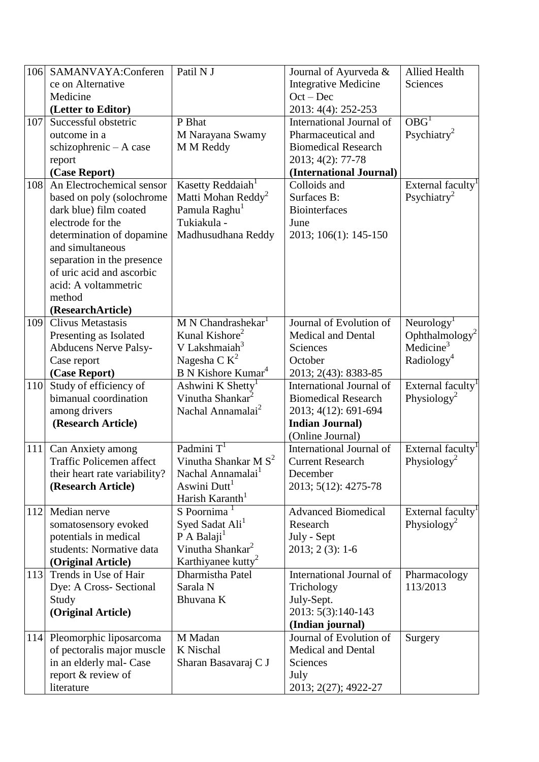| 106 | SAMANVAYA:Conferen                                    | Patil N J                                               | Journal of Ayurveda &                       | <b>Allied Health</b>                                  |
|-----|-------------------------------------------------------|---------------------------------------------------------|---------------------------------------------|-------------------------------------------------------|
|     | ce on Alternative                                     |                                                         | <b>Integrative Medicine</b>                 | Sciences                                              |
|     | Medicine                                              |                                                         | $Oct - Dec$                                 |                                                       |
|     | (Letter to Editor)                                    |                                                         | 2013: 4(4): 252-253                         |                                                       |
| 107 | Successful obstetric                                  | P Bhat                                                  | International Journal of                    | O <sub>BG</sub>                                       |
|     | outcome in a                                          | M Narayana Swamy                                        | Pharmaceutical and                          | Psychiatry <sup>2</sup>                               |
|     | $schizophrenic - A case$                              | M M Reddy                                               | <b>Biomedical Research</b>                  |                                                       |
|     | report                                                |                                                         | 2013; 4(2): 77-78                           |                                                       |
|     | (Case Report)                                         |                                                         | (International Journal)                     |                                                       |
| 108 | An Electrochemical sensor                             | Kasetty Reddaiah <sup>1</sup>                           | Colloids and                                | External faculty <sup><math>\overline{I}</math></sup> |
|     | based on poly (solochrome                             | Matti Mohan Reddy <sup>2</sup>                          | Surfaces B:                                 | Psychiatry <sup>2</sup>                               |
|     | dark blue) film coated                                | Pamula Raghu <sup>1</sup>                               | <b>Biointerfaces</b>                        |                                                       |
|     | electrode for the                                     | Tukiakula -                                             | June                                        |                                                       |
|     | determination of dopamine                             | Madhusudhana Reddy                                      | 2013; 106(1): 145-150                       |                                                       |
|     | and simultaneous                                      |                                                         |                                             |                                                       |
|     | separation in the presence                            |                                                         |                                             |                                                       |
|     | of uric acid and ascorbic                             |                                                         |                                             |                                                       |
|     | acid: A voltammetric                                  |                                                         |                                             |                                                       |
|     | method                                                |                                                         |                                             |                                                       |
|     | (ResearchArticle)                                     |                                                         |                                             |                                                       |
| 109 | Clivus Metastasis                                     | M N Chandrashekar <sup>1</sup>                          | Journal of Evolution of                     | Neurology <sup>1</sup>                                |
|     | Presenting as Isolated                                | Kunal Kishore <sup>2</sup>                              | Medical and Dental                          | Ophthalmology <sup>2</sup>                            |
|     | <b>Abducens Nerve Palsy-</b>                          | V Lakshmaiah <sup>3</sup>                               | Sciences                                    | Medicine <sup>3</sup>                                 |
|     | Case report                                           | Nagesha C $K^2$                                         | October                                     | Radiology <sup>4</sup>                                |
|     | (Case Report)                                         | B N Kishore Kumar <sup>4</sup>                          | 2013; 2(43): 8383-85                        |                                                       |
| 110 | Study of efficiency of                                | Ashwini K Shetty <sup>1</sup>                           | International Journal of                    | External faculty <sup>1</sup>                         |
|     | bimanual coordination                                 | Vinutha Shankar <sup>2</sup>                            | <b>Biomedical Research</b>                  | Physiology <sup>2</sup>                               |
|     | among drivers                                         | Nachal Annamalai <sup>2</sup>                           | 2013; 4(12): 691-694                        |                                                       |
|     | (Research Article)                                    |                                                         | <b>Indian Journal)</b>                      |                                                       |
|     |                                                       |                                                         | (Online Journal)                            |                                                       |
| 111 | Can Anxiety among                                     | Padmini $T1$                                            | International Journal of                    | External faculty <sup>1</sup>                         |
|     | Traffic Policemen affect                              | Vinutha Shankar M $S2$                                  | <b>Current Research</b>                     | Physiology <sup>2</sup>                               |
|     | their heart rate variability?                         | Nachal Annamalai <sup>1</sup>                           | December                                    |                                                       |
|     | (Research Article)                                    | Aswini Dutt <sup>1</sup>                                | 2013; 5(12): 4275-78                        |                                                       |
|     |                                                       | Harish Karanth <sup>1</sup>                             |                                             |                                                       |
| 112 | Median nerve                                          | S Poornima                                              | <b>Advanced Biomedical</b>                  | External faculty <sup>1</sup>                         |
|     | somatosensory evoked                                  | Syed Sadat Ali <sup>1</sup>                             | Research                                    | Physiology <sup>2</sup>                               |
|     | potentials in medical<br>students: Normative data     | P A Balaji <sup>1</sup><br>Vinutha Shankar <sup>2</sup> | July - Sept                                 |                                                       |
|     |                                                       |                                                         | $2013; 2(3): 1-6$                           |                                                       |
|     | (Original Article)<br>Trends in Use of Hair           | Karthiyanee kutty <sup>2</sup><br>Dharmistha Patel      |                                             |                                                       |
| 113 | Dye: A Cross- Sectional                               | Sarala N                                                | International Journal of                    | Pharmacology<br>113/2013                              |
|     |                                                       |                                                         | Trichology                                  |                                                       |
|     | Study<br>(Original Article)                           | Bhuvana K                                               | July-Sept.                                  |                                                       |
|     |                                                       |                                                         | 2013: 5(3):140-143                          |                                                       |
|     | 114 Pleomorphic liposarcoma                           | M Madan                                                 | (Indian journal)<br>Journal of Evolution of |                                                       |
|     |                                                       | K Nischal                                               | <b>Medical and Dental</b>                   | Surgery                                               |
|     | of pectoralis major muscle<br>in an elderly mal- Case | Sharan Basavaraj C J                                    | Sciences                                    |                                                       |
|     |                                                       |                                                         |                                             |                                                       |
|     | report & review of<br>literature                      |                                                         | July<br>2013; 2(27); 4922-27                |                                                       |
|     |                                                       |                                                         |                                             |                                                       |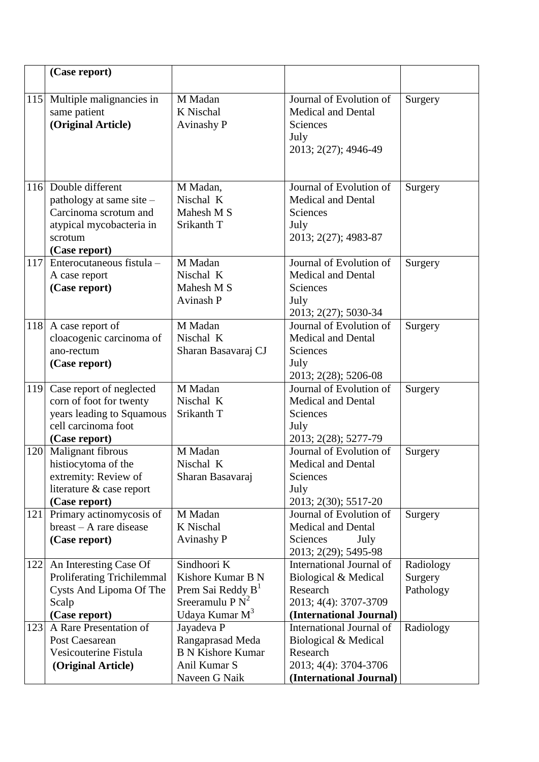|     | (Case report)                                    |                                                     |                                                  |           |
|-----|--------------------------------------------------|-----------------------------------------------------|--------------------------------------------------|-----------|
|     |                                                  |                                                     |                                                  |           |
| 115 | Multiple malignancies in                         | M Madan                                             | Journal of Evolution of                          | Surgery   |
|     | same patient                                     | K Nischal                                           | <b>Medical and Dental</b>                        |           |
|     | (Original Article)                               | <b>Avinashy P</b>                                   | Sciences<br>July                                 |           |
|     |                                                  |                                                     | 2013; 2(27); 4946-49                             |           |
|     |                                                  |                                                     |                                                  |           |
|     |                                                  |                                                     |                                                  |           |
|     | 116 Double different                             | M Madan,                                            | Journal of Evolution of                          | Surgery   |
|     | pathology at same site -                         | Nischal K                                           | <b>Medical and Dental</b>                        |           |
|     | Carcinoma scrotum and                            | Mahesh M S                                          | Sciences                                         |           |
|     | atypical mycobacteria in                         | Srikanth T                                          | July                                             |           |
|     | scrotum                                          |                                                     | 2013; 2(27); 4983-87                             |           |
| 117 | (Case report)<br>Enterocutaneous fistula -       | M Madan                                             | Journal of Evolution of                          | Surgery   |
|     | A case report                                    | Nischal K                                           | <b>Medical and Dental</b>                        |           |
|     | (Case report)                                    | Mahesh M S                                          | Sciences                                         |           |
|     |                                                  | Avinash P                                           | July                                             |           |
|     |                                                  |                                                     | 2013; 2(27); 5030-34                             |           |
| 118 | A case report of                                 | M Madan                                             | Journal of Evolution of                          | Surgery   |
|     | cloacogenic carcinoma of                         | Nischal K                                           | <b>Medical and Dental</b>                        |           |
|     | ano-rectum                                       | Sharan Basavaraj CJ                                 | Sciences                                         |           |
|     | (Case report)                                    |                                                     | July<br>2013; 2(28); 5206-08                     |           |
| 119 | Case report of neglected                         | M Madan                                             | Journal of Evolution of                          | Surgery   |
|     | corn of foot for twenty                          | Nischal K                                           | <b>Medical and Dental</b>                        |           |
|     | years leading to Squamous                        | Srikanth T                                          | Sciences                                         |           |
|     | cell carcinoma foot                              |                                                     | July                                             |           |
|     | (Case report)                                    |                                                     | 2013; 2(28); 5277-79                             |           |
| 120 | Malignant fibrous                                | M Madan                                             | Journal of Evolution of                          | Surgery   |
|     | histiocytoma of the                              | Nischal K                                           | <b>Medical and Dental</b>                        |           |
|     | extremity: Review of<br>literature & case report | Sharan Basavaraj                                    | Sciences<br>July                                 |           |
|     | (Case report)                                    |                                                     | 2013; 2(30); 5517-20                             |           |
| 121 | Primary actinomycosis of                         | M Madan                                             | Journal of Evolution of                          | Surgery   |
|     | $break - A$ rare disease                         | K Nischal                                           | <b>Medical and Dental</b>                        |           |
|     | (Case report)                                    | <b>Avinashy P</b>                                   | Sciences<br>July                                 |           |
|     |                                                  |                                                     | 2013; 2(29); 5495-98                             |           |
| 122 | An Interesting Case Of                           | Sindhoori K                                         | International Journal of                         | Radiology |
|     | <b>Proliferating Trichilemmal</b>                | Kishore Kumar B N                                   | Biological & Medical                             | Surgery   |
|     | Cysts And Lipoma Of The                          | Prem Sai Reddy B <sup>1</sup><br>Sreeramulu P $N^2$ | Research                                         | Pathology |
|     | Scalp<br>(Case report)                           | Udaya Kumar M <sup>3</sup>                          | 2013; 4(4): 3707-3709<br>(International Journal) |           |
| 123 | A Rare Presentation of                           | Jayadeva P                                          | International Journal of                         | Radiology |
|     | Post Caesarean                                   | Rangaprasad Meda                                    | Biological & Medical                             |           |
|     | Vesicouterine Fistula                            | <b>B N Kishore Kumar</b>                            | Research                                         |           |
|     | (Original Article)                               | Anil Kumar S                                        | 2013; 4(4): 3704-3706                            |           |
|     |                                                  | Naveen G Naik                                       | (International Journal)                          |           |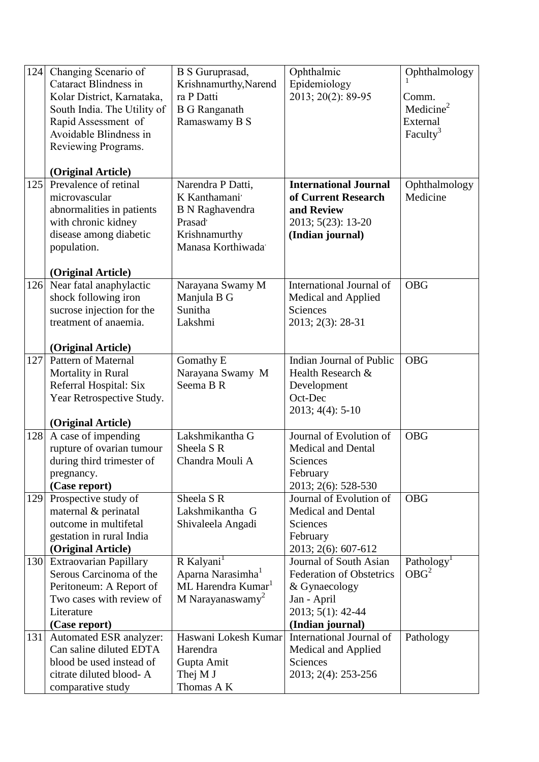| 124 | Changing Scenario of<br><b>Cataract Blindness in</b><br>Kolar District, Karnataka,<br>South India. The Utility of<br>Rapid Assessment of<br>Avoidable Blindness in<br>Reviewing Programs.<br>(Original Article) | B S Guruprasad,<br>Krishnamurthy, Narend<br>ra P Datti<br><b>B</b> G Ranganath<br>Ramaswamy B S                           | Ophthalmic<br>Epidemiology<br>2013; 20(2): 89-95                                                                                   | Ophthalmology<br>Comm.<br>Medicine <sup>2</sup><br>External<br>Faculty <sup>3</sup> |
|-----|-----------------------------------------------------------------------------------------------------------------------------------------------------------------------------------------------------------------|---------------------------------------------------------------------------------------------------------------------------|------------------------------------------------------------------------------------------------------------------------------------|-------------------------------------------------------------------------------------|
| 125 | Prevalence of retinal<br>microvascular<br>abnormalities in patients<br>with chronic kidney<br>disease among diabetic<br>population.<br>(Original Article)                                                       | Narendra P Datti,<br>K Kanthamani'<br><b>B</b> N Raghavendra<br>Prasad <sup>,</sup><br>Krishnamurthy<br>Manasa Korthiwada | <b>International Journal</b><br>of Current Research<br>and Review<br>2013; 5(23): 13-20<br>(Indian journal)                        | Ophthalmology<br>Medicine                                                           |
| 126 | Near fatal anaphylactic<br>shock following iron<br>sucrose injection for the<br>treatment of anaemia.<br>(Original Article)                                                                                     | Narayana Swamy M<br>Manjula B G<br>Sunitha<br>Lakshmi                                                                     | International Journal of<br>Medical and Applied<br>Sciences<br>2013; 2(3): 28-31                                                   | <b>OBG</b>                                                                          |
| 127 | <b>Pattern of Maternal</b><br>Mortality in Rural<br>Referral Hospital: Six<br>Year Retrospective Study.<br>(Original Article)                                                                                   | Gomathy E<br>Narayana Swamy M<br>Seema B R                                                                                | <b>Indian Journal of Public</b><br>Health Research &<br>Development<br>Oct-Dec<br>$2013; 4(4): 5-10$                               | <b>OBG</b>                                                                          |
| 128 | A case of impending<br>rupture of ovarian tumour<br>during third trimester of<br>pregnancy.<br>(Case report)                                                                                                    | Lakshmikantha G<br>Sheela S R<br>Chandra Mouli A                                                                          | Journal of Evolution of<br><b>Medical and Dental</b><br>Sciences<br>February<br>2013; 2(6): 528-530                                | <b>OBG</b>                                                                          |
| 129 | Prospective study of<br>maternal & perinatal<br>outcome in multifetal<br>gestation in rural India<br>(Original Article)                                                                                         | Sheela S R<br>Lakshmikantha G<br>Shivaleela Angadi                                                                        | Journal of Evolution of<br><b>Medical and Dental</b><br>Sciences<br>February<br>2013; 2(6): 607-612                                | <b>OBG</b>                                                                          |
| 130 | <b>Extraovarian Papillary</b><br>Serous Carcinoma of the<br>Peritoneum: A Report of<br>Two cases with review of<br>Literature<br>(Case report)                                                                  | R Kalyani <sup>1</sup><br>Aparna Narasimha <sup>1</sup><br>ML Harendra Kumar <sup>1</sup><br>M Narayanaswamy <sup>2</sup> | Journal of South Asian<br><b>Federation of Obstetrics</b><br>& Gynaecology<br>Jan - April<br>2013; 5(1): 42-44<br>(Indian journal) | Pathology <sup>1</sup><br>OBG <sup>2</sup>                                          |
| 131 | Automated ESR analyzer:<br>Can saline diluted EDTA<br>blood be used instead of<br>citrate diluted blood-A<br>comparative study                                                                                  | Haswani Lokesh Kumar<br>Harendra<br>Gupta Amit<br>Thej M J<br>Thomas A K                                                  | International Journal of<br>Medical and Applied<br>Sciences<br>2013; 2(4): 253-256                                                 | Pathology                                                                           |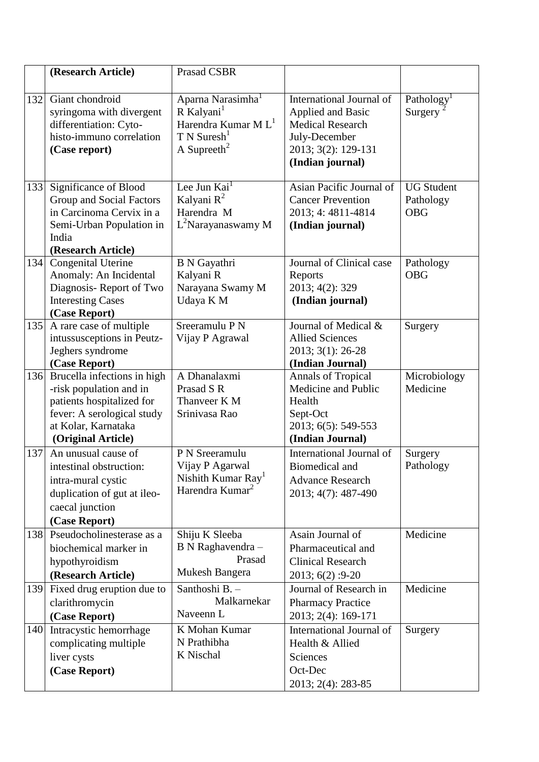|     | (Research Article)                                                                                | <b>Prasad CSBR</b>                                                                                            |                                                                                                  |                                |
|-----|---------------------------------------------------------------------------------------------------|---------------------------------------------------------------------------------------------------------------|--------------------------------------------------------------------------------------------------|--------------------------------|
|     |                                                                                                   |                                                                                                               |                                                                                                  |                                |
| 132 | Giant chondroid<br>syringoma with divergent<br>differentiation: Cyto-<br>histo-immuno correlation | Aparna Narasimha <sup>1</sup><br>R Kalyani <sup>1</sup><br>Harendra Kumar M $L1$<br>$T N$ Suresh <sup>1</sup> | International Journal of<br><b>Applied and Basic</b><br><b>Medical Research</b><br>July-December | Pathology<br>Surgery           |
|     | (Case report)                                                                                     | A Supreeth <sup>2</sup>                                                                                       | 2013; 3(2): 129-131<br>(Indian journal)                                                          |                                |
| 133 | Significance of Blood<br>Group and Social Factors                                                 | Lee Jun $Kai1$<br>Kalyani R <sup>2</sup>                                                                      | Asian Pacific Journal of<br><b>Cancer Prevention</b>                                             | <b>UG Student</b><br>Pathology |
|     | in Carcinoma Cervix in a                                                                          | Harendra M                                                                                                    | 2013; 4: 4811-4814                                                                               | <b>OBG</b>                     |
|     | Semi-Urban Population in                                                                          | $L^2$ Narayanaswamy M                                                                                         | (Indian journal)                                                                                 |                                |
|     | India<br>(Research Article)                                                                       |                                                                                                               |                                                                                                  |                                |
| 134 | Congenital Uterine                                                                                | <b>B</b> N Gayathri                                                                                           | Journal of Clinical case                                                                         | Pathology                      |
|     | Anomaly: An Incidental                                                                            | Kalyani R                                                                                                     | Reports                                                                                          | <b>OBG</b>                     |
|     | Diagnosis-Report of Two<br><b>Interesting Cases</b>                                               | Narayana Swamy M<br>Udaya K M                                                                                 | 2013; 4(2): 329<br>(Indian journal)                                                              |                                |
|     | (Case Report)                                                                                     |                                                                                                               |                                                                                                  |                                |
| 135 | A rare case of multiple                                                                           | Sreeramulu P N                                                                                                | Journal of Medical &                                                                             | Surgery                        |
|     | intussusceptions in Peutz-                                                                        | Vijay P Agrawal                                                                                               | <b>Allied Sciences</b>                                                                           |                                |
|     | Jeghers syndrome                                                                                  |                                                                                                               | 2013; 3(1): 26-28                                                                                |                                |
| 136 | (Case Report)<br>Brucella infections in high                                                      | A Dhanalaxmi                                                                                                  | (Indian Journal)                                                                                 |                                |
|     | -risk population and in                                                                           | Prasad S R                                                                                                    | <b>Annals of Tropical</b><br>Medicine and Public                                                 | Microbiology<br>Medicine       |
|     | patients hospitalized for                                                                         | Thanveer K M                                                                                                  | Health                                                                                           |                                |
|     | fever: A serological study                                                                        | Srinivasa Rao                                                                                                 | Sept-Oct                                                                                         |                                |
|     | at Kolar, Karnataka                                                                               |                                                                                                               | 2013; 6(5): 549-553                                                                              |                                |
|     | (Original Article)                                                                                |                                                                                                               | (Indian Journal)                                                                                 |                                |
| 137 | An unusual cause of                                                                               | P N Sreeramulu                                                                                                | International Journal of                                                                         | Surgery                        |
|     | intestinal obstruction:                                                                           | Vijay P Agarwal                                                                                               | Biomedical and                                                                                   | Pathology                      |
|     | intra-mural cystic                                                                                | Nishith Kumar Ray <sup>1</sup><br>Harendra Kumar <sup>2</sup>                                                 | <b>Advance Research</b>                                                                          |                                |
|     | duplication of gut at ileo-                                                                       |                                                                                                               | 2013; 4(7): 487-490                                                                              |                                |
|     | caecal junction                                                                                   |                                                                                                               |                                                                                                  |                                |
|     | (Case Report)<br>138 Pseudocholinesterase as a                                                    | Shiju K Sleeba                                                                                                | Asain Journal of                                                                                 | Medicine                       |
|     | biochemical marker in                                                                             | B N Raghavendra -                                                                                             | Pharmaceutical and                                                                               |                                |
|     | hypothyroidism                                                                                    | Prasad                                                                                                        | <b>Clinical Research</b>                                                                         |                                |
|     | (Research Article)                                                                                | Mukesh Bangera                                                                                                | 2013; 6(2): 9-20                                                                                 |                                |
| 139 | Fixed drug eruption due to                                                                        | Santhoshi B.-                                                                                                 | Journal of Research in                                                                           | Medicine                       |
|     | clarithromycin                                                                                    | Malkarnekar                                                                                                   | <b>Pharmacy Practice</b>                                                                         |                                |
|     | (Case Report)                                                                                     | Naveenn L                                                                                                     | 2013; 2(4): 169-171                                                                              |                                |
| 140 | Intracystic hemorrhage                                                                            | K Mohan Kumar                                                                                                 | International Journal of                                                                         | Surgery                        |
|     | complicating multiple                                                                             | N Prathibha<br>K Nischal                                                                                      | Health & Allied                                                                                  |                                |
|     | liver cysts                                                                                       |                                                                                                               | Sciences                                                                                         |                                |
|     | (Case Report)                                                                                     |                                                                                                               | Oct-Dec                                                                                          |                                |
|     |                                                                                                   |                                                                                                               | 2013; 2(4): 283-85                                                                               |                                |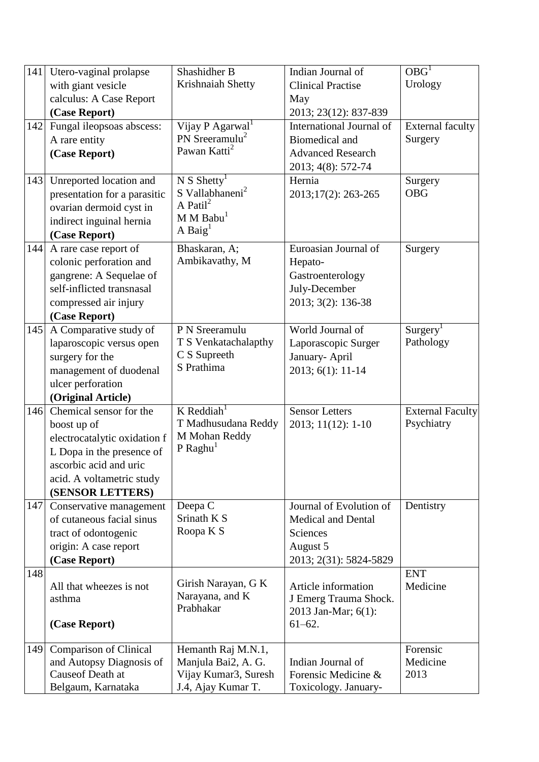| 141 | Utero-vaginal prolapse        | Shashidher B                               | Indian Journal of                           | OBG <sup>T</sup>        |
|-----|-------------------------------|--------------------------------------------|---------------------------------------------|-------------------------|
|     | with giant vesicle            | Krishnaiah Shetty                          | <b>Clinical Practise</b>                    | Urology                 |
|     | calculus: A Case Report       |                                            | May                                         |                         |
|     | (Case Report)                 |                                            | 2013; 23(12): 837-839                       |                         |
| 142 | Fungal ileopsoas abscess:     | Vijay P Agarwal <sup>1</sup>               | International Journal of                    | <b>External faculty</b> |
|     | A rare entity                 | PN Sreeramulu <sup>2</sup>                 | <b>Biomedical and</b>                       | Surgery                 |
|     | (Case Report)                 | Pawan Katti <sup>2</sup>                   | <b>Advanced Research</b>                    |                         |
|     |                               |                                            | 2013; 4(8): 572-74                          |                         |
| 143 | Unreported location and       | N S Shetty <sup>1</sup>                    | Hernia                                      | Surgery                 |
|     | presentation for a parasitic  | S Vallabhaneni <sup>2</sup>                | 2013;17(2): 263-265                         | <b>OBG</b>              |
|     | ovarian dermoid cyst in       | A Patil $^2$                               |                                             |                         |
|     | indirect inguinal hernia      | $M$ M Babu <sup>1</sup>                    |                                             |                         |
|     | (Case Report)                 | A Baig <sup>1</sup>                        |                                             |                         |
| 144 | A rare case report of         | Bhaskaran, A;                              | Euroasian Journal of                        | Surgery                 |
|     | colonic perforation and       | Ambikavathy, M                             | Hepato-                                     |                         |
|     | gangrene: A Sequelae of       |                                            | Gastroenterology                            |                         |
|     | self-inflicted transnasal     |                                            | July-December                               |                         |
|     | compressed air injury         |                                            | 2013; 3(2): 136-38                          |                         |
|     | (Case Report)                 |                                            |                                             |                         |
| 145 | A Comparative study of        | P N Sreeramulu                             | World Journal of                            | Surgery <sup>1</sup>    |
|     | laparoscopic versus open      | T S Venkatachalapthy                       | Laporascopic Surger                         | Pathology               |
|     | surgery for the               | C S Supreeth                               | January- April                              |                         |
|     | management of duodenal        | S Prathima                                 | 2013; 6(1): 11-14                           |                         |
|     | ulcer perforation             |                                            |                                             |                         |
|     | (Original Article)            |                                            |                                             |                         |
| 146 | Chemical sensor for the       | K Reddiah <sup>1</sup>                     | <b>Sensor Letters</b>                       | <b>External Faculty</b> |
|     | boost up of                   | T Madhusudana Reddy                        | 2013; 11(12): 1-10                          | Psychiatry              |
|     | electrocatalytic oxidation f  | M Mohan Reddy                              |                                             |                         |
|     | L Dopa in the presence of     | $P$ Raghu <sup>1</sup>                     |                                             |                         |
|     | ascorbic acid and uric        |                                            |                                             |                         |
|     | acid. A voltametric study     |                                            |                                             |                         |
|     | (SENSOR LETTERS)              |                                            |                                             |                         |
| 147 | Conservative management       | Deepa C                                    | Journal of Evolution of                     | Dentistry               |
|     | of cutaneous facial sinus     | Srinath K S                                | <b>Medical and Dental</b>                   |                         |
|     | tract of odontogenic          | Roopa K S                                  | Sciences                                    |                         |
|     | origin: A case report         |                                            | August 5                                    |                         |
|     | (Case Report)                 |                                            | 2013; 2(31): 5824-5829                      |                         |
| 148 |                               |                                            |                                             | <b>ENT</b>              |
|     | All that wheezes is not       | Girish Narayan, G K                        | Article information                         | Medicine                |
|     | asthma                        | Narayana, and K                            | J Emerg Trauma Shock.                       |                         |
|     |                               | Prabhakar                                  | 2013 Jan-Mar; 6(1):                         |                         |
|     | (Case Report)                 |                                            | $61 - 62$ .                                 |                         |
|     |                               |                                            |                                             |                         |
| 149 | <b>Comparison of Clinical</b> | Hemanth Raj M.N.1,                         |                                             | Forensic                |
|     | and Autopsy Diagnosis of      | Manjula Bai2, A. G.                        | Indian Journal of                           | Medicine                |
|     | Causeof Death at              | Vijay Kumar3, Suresh<br>J.4, Ajay Kumar T. | Forensic Medicine &<br>Toxicology. January- | 2013                    |
|     | Belgaum, Karnataka            |                                            |                                             |                         |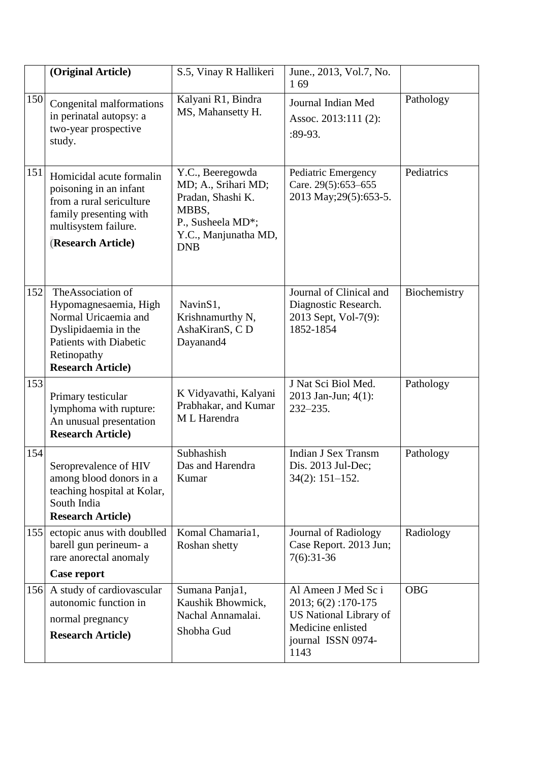|     | (Original Article)                                                                                                                                                      | S.5, Vinay R Hallikeri                                                                                                           | June., 2013, Vol.7, No.<br>169                                                                                         |              |
|-----|-------------------------------------------------------------------------------------------------------------------------------------------------------------------------|----------------------------------------------------------------------------------------------------------------------------------|------------------------------------------------------------------------------------------------------------------------|--------------|
| 150 | Congenital malformations<br>in perinatal autopsy: a<br>two-year prospective<br>study.                                                                                   | Kalyani R1, Bindra<br>MS, Mahansetty H.                                                                                          | Journal Indian Med<br>Assoc. 2013:111 (2):<br>$:89-93.$                                                                | Pathology    |
| 151 | Homicidal acute formalin<br>poisoning in an infant<br>from a rural sericulture<br>family presenting with<br>multisystem failure.<br>(Research Article)                  | Y.C., Beeregowda<br>MD; A., Srihari MD;<br>Pradan, Shashi K.<br>MBBS,<br>P., Susheela MD*;<br>Y.C., Manjunatha MD,<br><b>DNB</b> | Pediatric Emergency<br>Care. 29(5):653-655<br>2013 May; 29(5): 653-5.                                                  | Pediatrics   |
| 152 | The Association of<br>Hypomagnesaemia, High<br>Normal Uricaemia and<br>Dyslipidaemia in the<br><b>Patients with Diabetic</b><br>Retinopathy<br><b>Research Article)</b> | Navin <sub>S1</sub> ,<br>Krishnamurthy N,<br>AshaKiranS, CD<br>Dayanand4                                                         | Journal of Clinical and<br>Diagnostic Research.<br>2013 Sept, Vol-7(9):<br>1852-1854                                   | Biochemistry |
| 153 | Primary testicular<br>lymphoma with rupture:<br>An unusual presentation<br><b>Research Article)</b>                                                                     | K Vidyavathi, Kalyani<br>Prabhakar, and Kumar<br>M L Harendra                                                                    | J Nat Sci Biol Med.<br>2013 Jan-Jun; 4(1):<br>$232 - 235.$                                                             | Pathology    |
| 154 | Seroprevalence of HIV<br>among blood donors in a<br>teaching hospital at Kolar,<br>South India<br><b>Research Article)</b>                                              | Subhashish<br>Das and Harendra<br>Kumar                                                                                          | <b>Indian J Sex Transm</b><br>Dis. 2013 Jul-Dec;<br>$34(2): 151-152.$                                                  | Pathology    |
| 155 | ectopic anus with doublled<br>barell gun perineum- a<br>rare anorectal anomaly<br>Case report                                                                           | Komal Chamaria1,<br>Roshan shetty                                                                                                | <b>Journal of Radiology</b><br>Case Report. 2013 Jun;<br>$7(6):31-36$                                                  | Radiology    |
| 156 | A study of cardiovascular<br>autonomic function in<br>normal pregnancy<br><b>Research Article)</b>                                                                      | Sumana Panja1,<br>Kaushik Bhowmick,<br>Nachal Annamalai.<br>Shobha Gud                                                           | Al Ameen J Med Sc i<br>2013; 6(2):170-175<br>US National Library of<br>Medicine enlisted<br>journal ISSN 0974-<br>1143 | <b>OBG</b>   |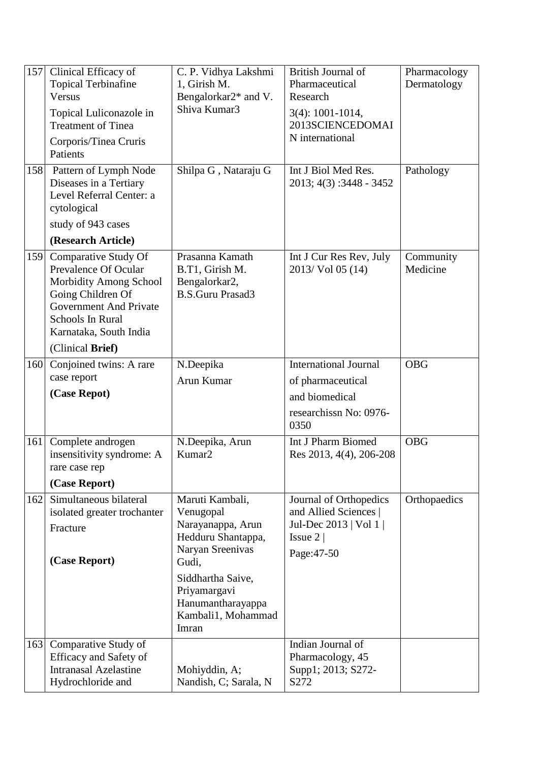| 157<br>158 | Clinical Efficacy of<br><b>Topical Terbinafine</b><br>Versus<br>Topical Luliconazole in<br><b>Treatment of Tinea</b><br>Corporis/Tinea Cruris<br>Patients<br>Pattern of Lymph Node<br>Diseases in a Tertiary<br>Level Referral Center: a<br>cytological | C. P. Vidhya Lakshmi<br>1, Girish M.<br>Bengalorkar2* and V.<br>Shiva Kumar3<br>Shilpa G, Nataraju G                                                                                          | British Journal of<br>Pharmaceutical<br>Research<br>$3(4): 1001 - 1014,$<br>2013SCIENCEDOMAI<br>N international<br>Int J Biol Med Res.<br>$2013; 4(3)$ : 3448 - 3452 | Pharmacology<br>Dermatology<br>Pathology |
|------------|---------------------------------------------------------------------------------------------------------------------------------------------------------------------------------------------------------------------------------------------------------|-----------------------------------------------------------------------------------------------------------------------------------------------------------------------------------------------|----------------------------------------------------------------------------------------------------------------------------------------------------------------------|------------------------------------------|
|            | study of 943 cases<br>(Research Article)                                                                                                                                                                                                                |                                                                                                                                                                                               |                                                                                                                                                                      |                                          |
| 159        | Comparative Study Of<br>Prevalence Of Ocular<br>Morbidity Among School<br>Going Children Of<br><b>Government And Private</b><br>Schools In Rural<br>Karnataka, South India<br>(Clinical Brief)                                                          | Prasanna Kamath<br>B.T1, Girish M.<br>Bengalorkar2,<br><b>B.S.Guru Prasad3</b>                                                                                                                | Int J Cur Res Rev, July<br>2013/ Vol 05 (14)                                                                                                                         | Community<br>Medicine                    |
| 160        | Conjoined twins: A rare<br>case report<br>(Case Repot)                                                                                                                                                                                                  | N.Deepika<br>Arun Kumar                                                                                                                                                                       | <b>International Journal</b><br>of pharmaceutical<br>and biomedical<br>researchissn No: 0976-<br>0350                                                                | <b>OBG</b>                               |
| 161        | Complete androgen<br>insensitivity syndrome: A<br>rare case rep<br>(Case Report)                                                                                                                                                                        | N.Deepika, Arun<br>Kumar <sub>2</sub>                                                                                                                                                         | Int J Pharm Biomed<br>Res 2013, 4(4), 206-208                                                                                                                        | <b>OBG</b>                               |
| 162        | Simultaneous bilateral<br>isolated greater trochanter<br>Fracture<br>(Case Report)                                                                                                                                                                      | Maruti Kambali,<br>Venugopal<br>Narayanappa, Arun<br>Hedduru Shantappa,<br>Naryan Sreenivas<br>Gudi,<br>Siddhartha Saive,<br>Priyamargavi<br>Hanumantharayappa<br>Kambali1, Mohammad<br>Imran | Journal of Orthopedics<br>and Allied Sciences  <br>Jul-Dec 2013   Vol 1  <br>Issue $2 $<br>Page: 47-50                                                               | Orthopaedics                             |
| 163        | Comparative Study of<br>Efficacy and Safety of<br><b>Intranasal Azelastine</b><br>Hydrochloride and                                                                                                                                                     | Mohiyddin, A;<br>Nandish, C; Sarala, N                                                                                                                                                        | Indian Journal of<br>Pharmacology, 45<br>Supp1; 2013; S272-<br>S272                                                                                                  |                                          |